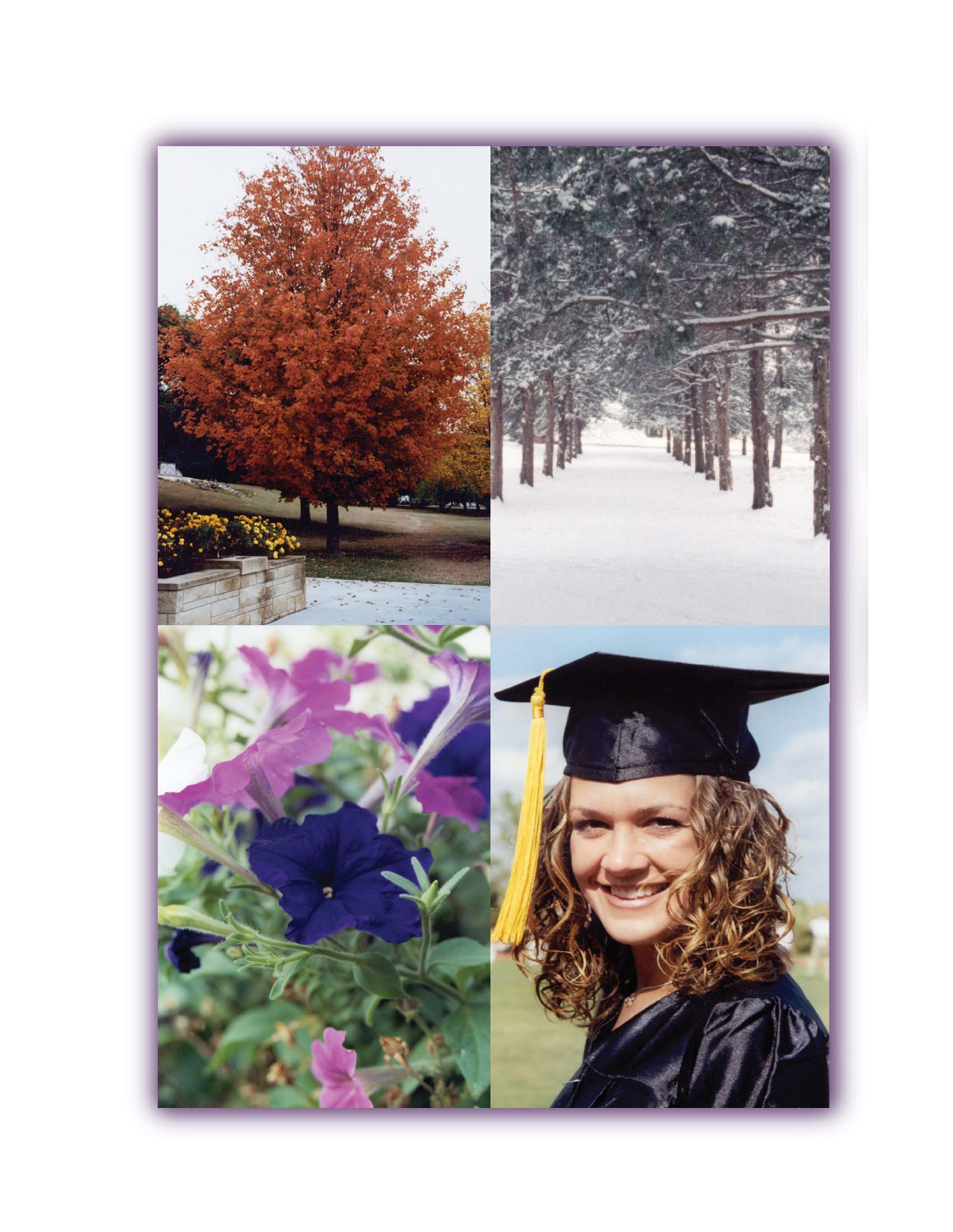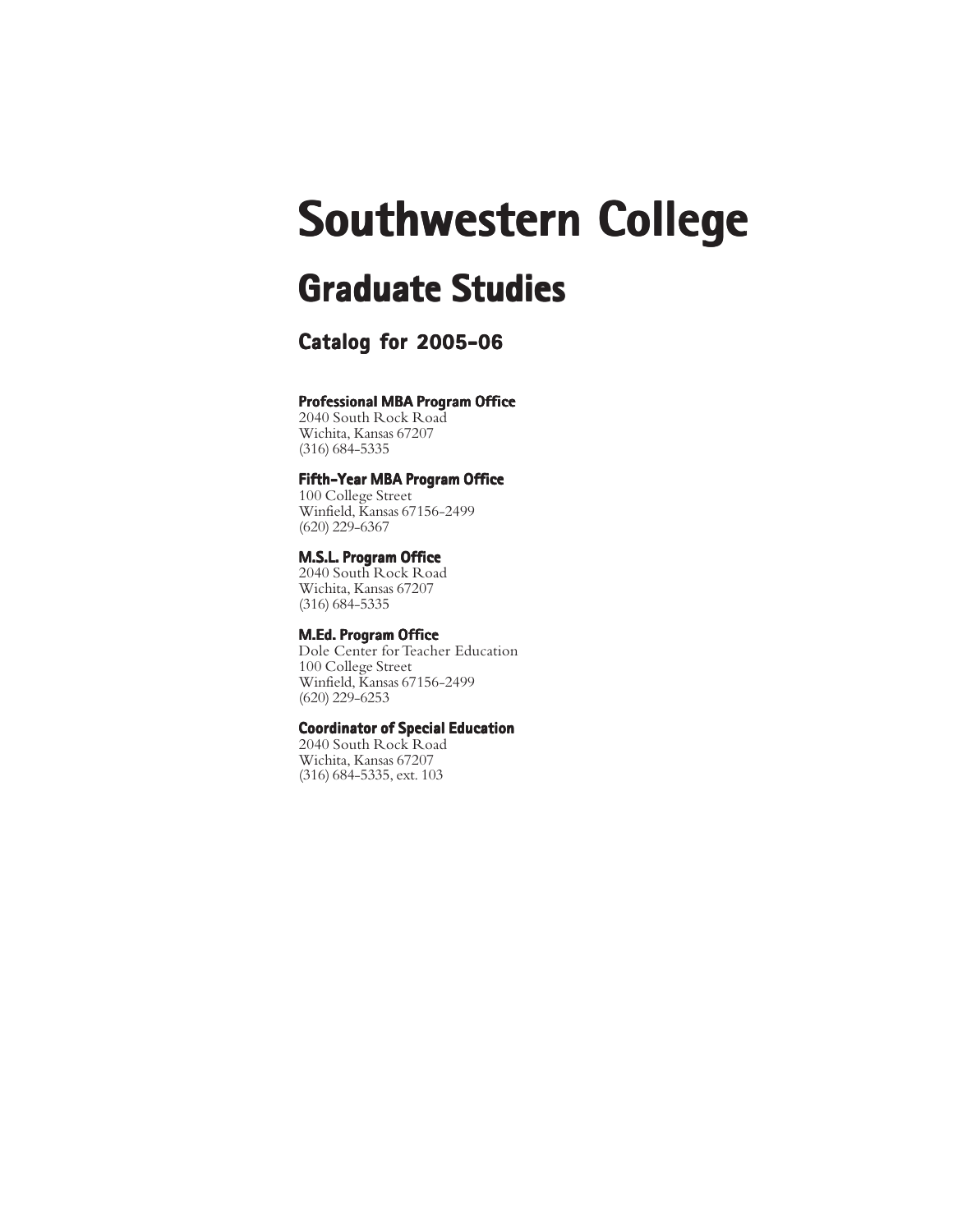# **Southwestern College**

# **Graduate Studies**

# **Catalog for 2005-06**

#### **Professional MBA Program Office**

2040 South Rock Road Wichita, Kansas 67207 (316) 684-5335

#### **Fifth-Year MBA Program Office**

100 College Street Winfield, Kansas 67156-2499 (620) 229-6367

#### **M.S.L. Program Office**

2040 South Rock Road Wichita, Kansas 67207 (316) 684-5335

## **M.Ed. Program Office**

Dole Center for Teacher Education 100 College Street Winfield, Kansas 67156-2499 (620) 229-6253

#### **Coordinator of Special Education**

2040 South Rock Road Wichita, Kansas 67207 (316) 684-5335, ext. 103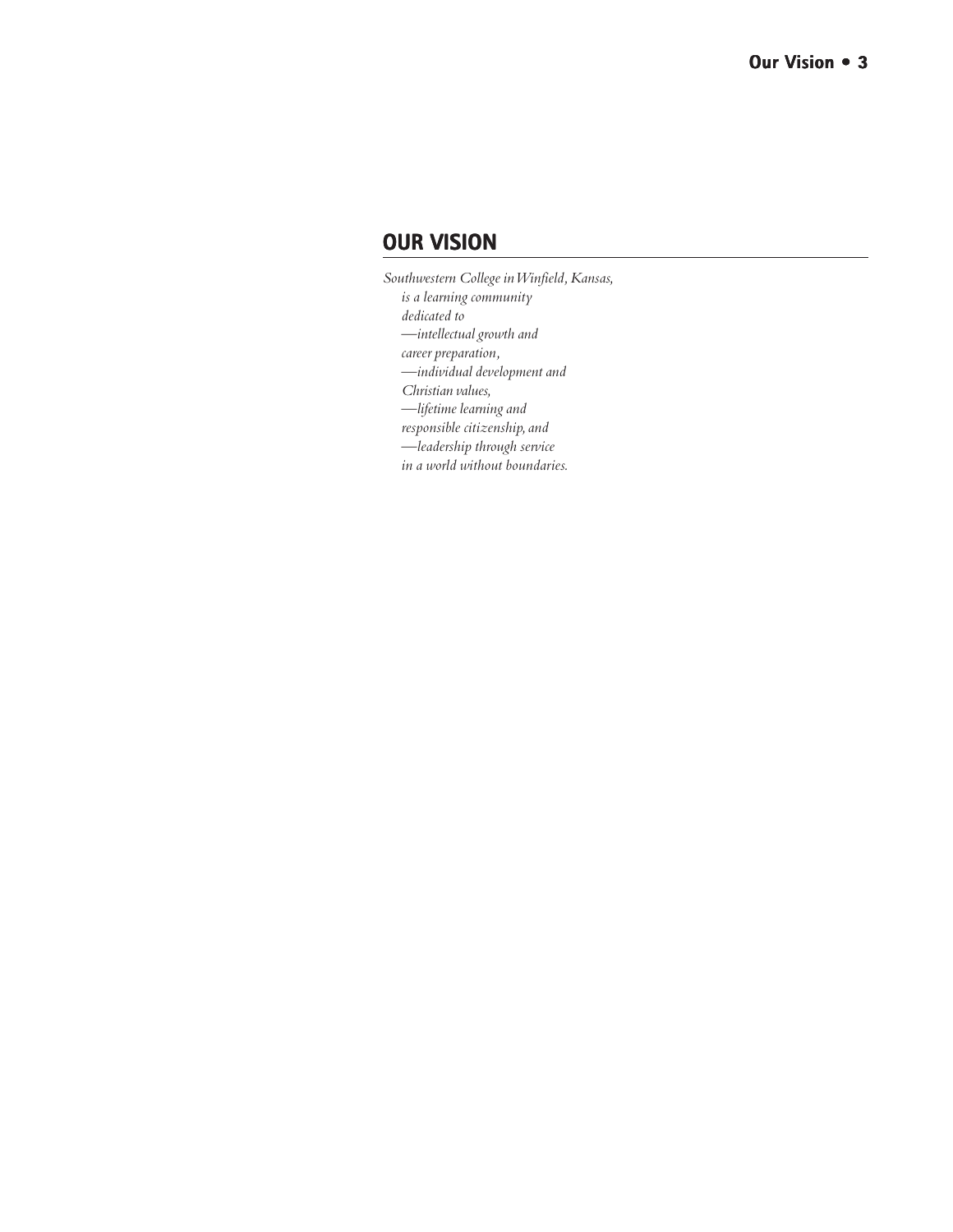# **OUR VISION**

*Southwestern College in Winfield, Kansas, is a learning community dedicated to —intellectual growth and career preparation, —individual development and Christian values, —lifetime learning and responsible citizenship, and —leadership through service in a world without boundaries.*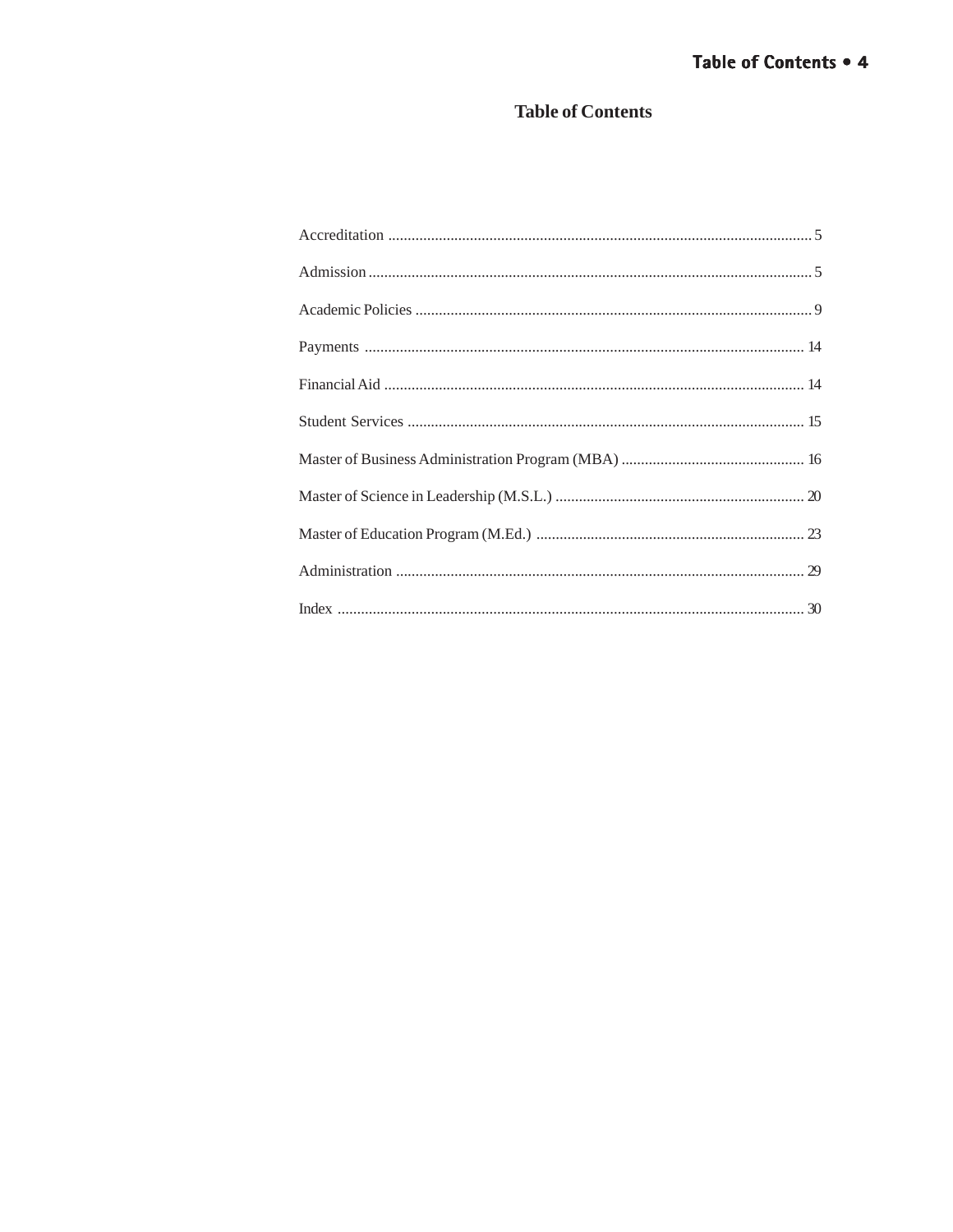# **Table of Contents**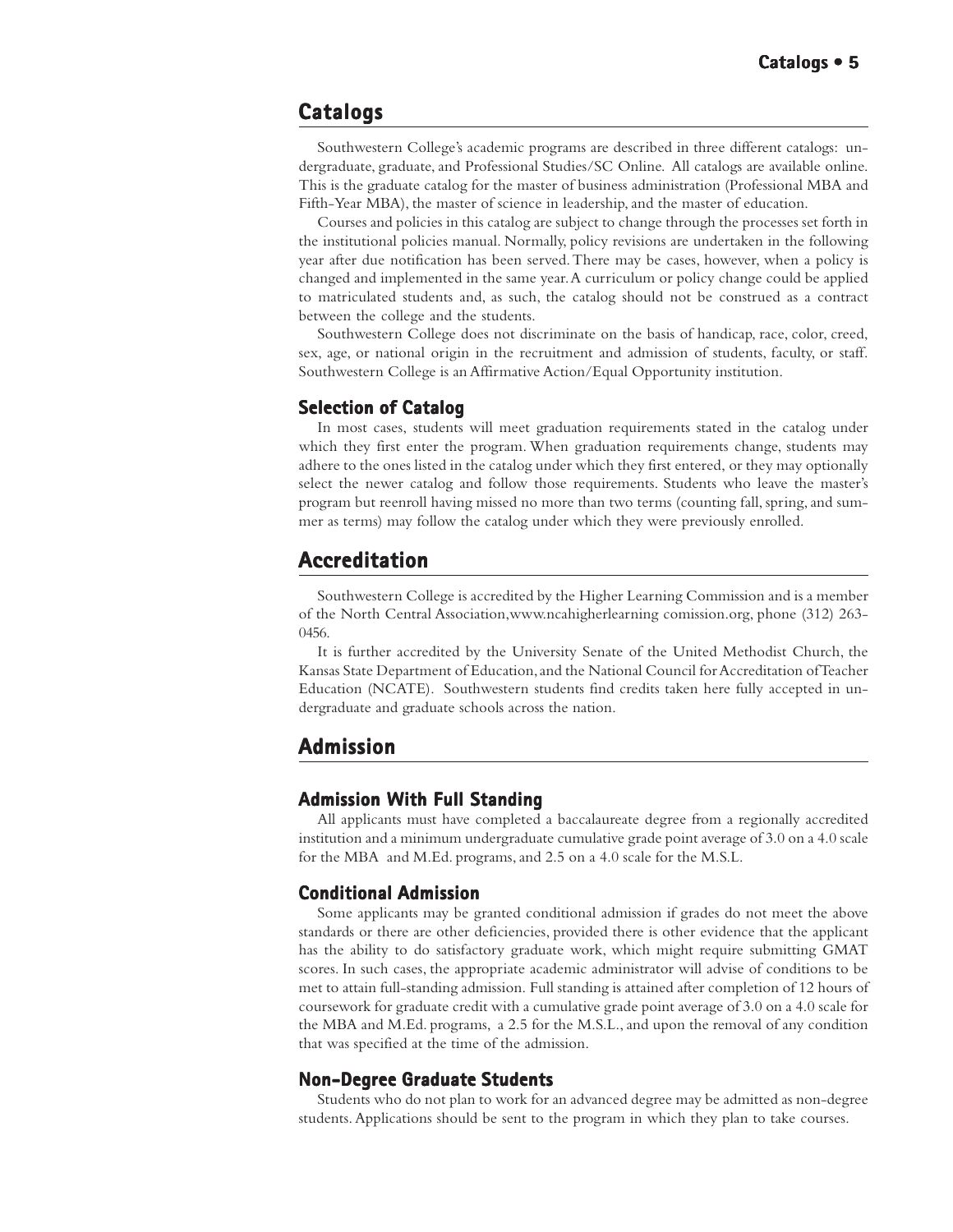# <span id="page-4-0"></span>**Catalogs**

Southwestern College's academic programs are described in three different catalogs: undergraduate, graduate, and Professional Studies/SC Online. All catalogs are available online. This is the graduate catalog for the master of business administration (Professional MBA and Fifth-Year MBA), the master of science in leadership, and the master of education.

Courses and policies in this catalog are subject to change through the processes set forth in the institutional policies manual. Normally, policy revisions are undertaken in the following year after due notification has been served. There may be cases, however, when a policy is changed and implemented in the same year. A curriculum or policy change could be applied to matriculated students and, as such, the catalog should not be construed as a contract between the college and the students.

Southwestern College does not discriminate on the basis of handicap, race, color, creed, sex, age, or national origin in the recruitment and admission of students, faculty, or staff. Southwestern College is an Affirmative Action/Equal Opportunity institution.

### **Selection of Catalog**

In most cases, students will meet graduation requirements stated in the catalog under which they first enter the program. When graduation requirements change, students may adhere to the ones listed in the catalog under which they first entered, or they may optionally select the newer catalog and follow those requirements. Students who leave the master's program but reenroll having missed no more than two terms (counting fall, spring, and summer as terms) may follow the catalog under which they were previously enrolled.

# **Accreditation**

Southwestern College is accredited by the Higher Learning Commission and is a member of the North Central Association,www.ncahigherlearning comission.org, phone (312) 263- 0456.

It is further accredited by the University Senate of the United Methodist Church, the Kansas State Department of Education, and the National Council for Accreditation of Teacher Education (NCATE). Southwestern students find credits taken here fully accepted in undergraduate and graduate schools across the nation.

# **Admission**

#### **Admission With Full Standing**

All applicants must have completed a baccalaureate degree from a regionally accredited institution and a minimum undergraduate cumulative grade point average of 3.0 on a 4.0 scale for the MBA and M.Ed. programs, and 2.5 on a 4.0 scale for the M.S.L.

### **Conditional Admission**

Some applicants may be granted conditional admission if grades do not meet the above standards or there are other deficiencies, provided there is other evidence that the applicant has the ability to do satisfactory graduate work, which might require submitting GMAT scores. In such cases, the appropriate academic administrator will advise of conditions to be met to attain full-standing admission. Full standing is attained after completion of 12 hours of coursework for graduate credit with a cumulative grade point average of 3.0 on a 4.0 scale for the MBA and M.Ed. programs, a 2.5 for the M.S.L., and upon the removal of any condition that was specified at the time of the admission.

### **Non-Degree Graduate Students Graduate Students**

Students who do not plan to work for an advanced degree may be admitted as non-degree students. Applications should be sent to the program in which they plan to take courses.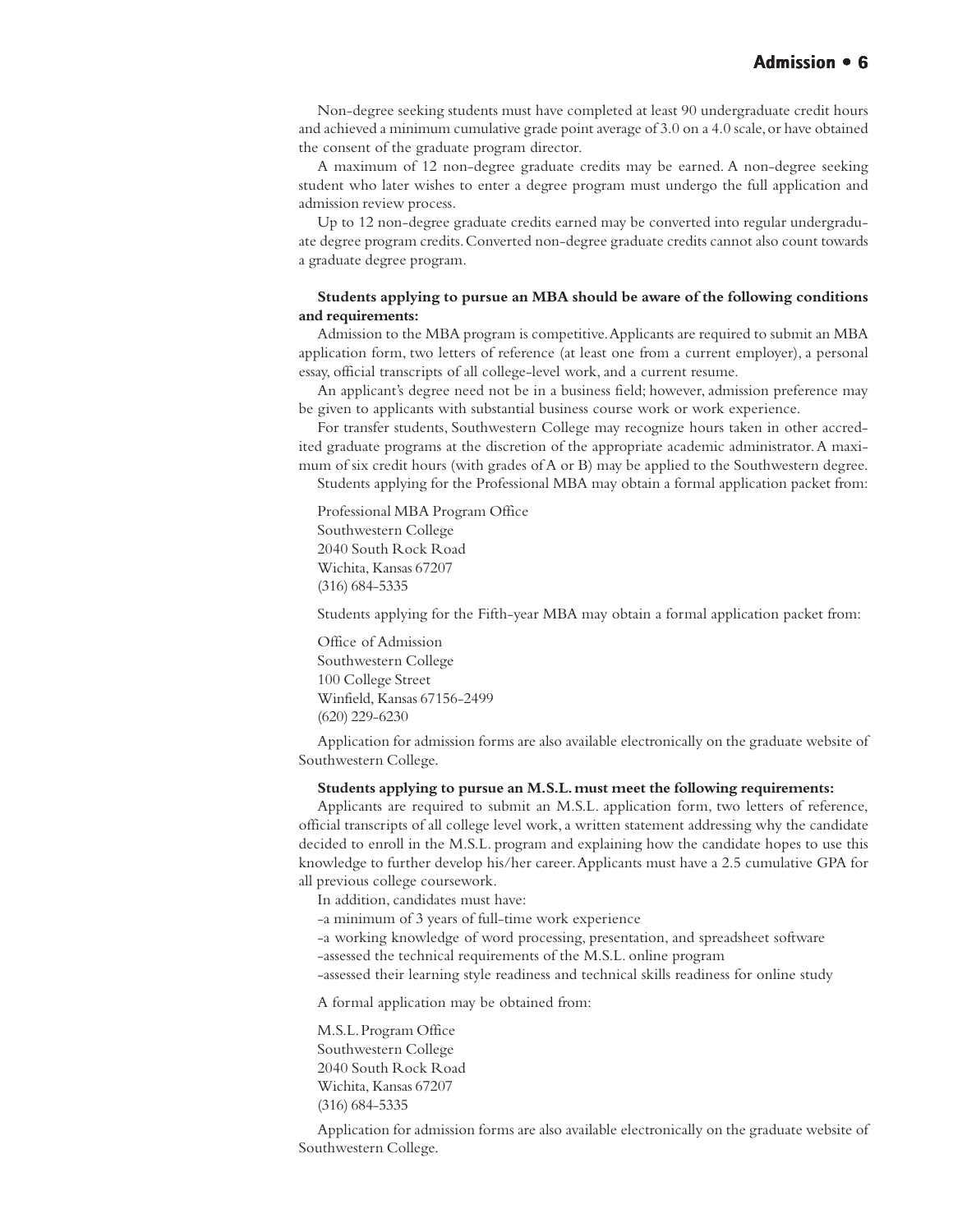<span id="page-5-0"></span>Non-degree seeking students must have completed at least 90 undergraduate credit hours and achieved a minimum cumulative grade point average of 3.0 on a 4.0 scale, or have obtained the consent of the graduate program director.

A maximum of 12 non-degree graduate credits may be earned. A non-degree seeking student who later wishes to enter a degree program must undergo the full application and admission review process.

Up to 12 non-degree graduate credits earned may be converted into regular undergraduate degree program credits. Converted non-degree graduate credits cannot also count towards a graduate degree program.

#### **Students applying to pursue an MBA should be aware of the following conditions and requirements:**

Admission to the MBA program is competitive. Applicants are required to submit an MBA application form, two letters of reference (at least one from a current employer), a personal essay, official transcripts of all college-level work, and a current resume.

An applicant's degree need not be in a business field; however, admission preference may be given to applicants with substantial business course work or work experience.

For transfer students, Southwestern College may recognize hours taken in other accredited graduate programs at the discretion of the appropriate academic administrator. A maximum of six credit hours (with grades of A or B) may be applied to the Southwestern degree.

Students applying for the Professional MBA may obtain a formal application packet from:

Professional MBA Program Office Southwestern College 2040 South Rock Road Wichita, Kansas 67207 (316) 684-5335

Students applying for the Fifth-year MBA may obtain a formal application packet from:

Office of Admission Southwestern College 100 College Street Winfield, Kansas 67156-2499 (620) 229-6230

Application for admission forms are also available electronically on the graduate website of Southwestern College.

#### **Students applying to pursue an M.S.L. must meet the following requirements:**

Applicants are required to submit an M.S.L. application form, two letters of reference, official transcripts of all college level work, a written statement addressing why the candidate decided to enroll in the M.S.L. program and explaining how the candidate hopes to use this knowledge to further develop his/her career. Applicants must have a 2.5 cumulative GPA for all previous college coursework.

In addition, candidates must have:

-a minimum of 3 years of full-time work experience

-a working knowledge of word processing, presentation, and spreadsheet software

-assessed the technical requirements of the M.S.L. online program

-assessed their learning style readiness and technical skills readiness for online study

A formal application may be obtained from:

M.S.L. Program Office Southwestern College 2040 South Rock Road Wichita, Kansas 67207 (316) 684-5335

Application for admission forms are also available electronically on the graduate website of Southwestern College.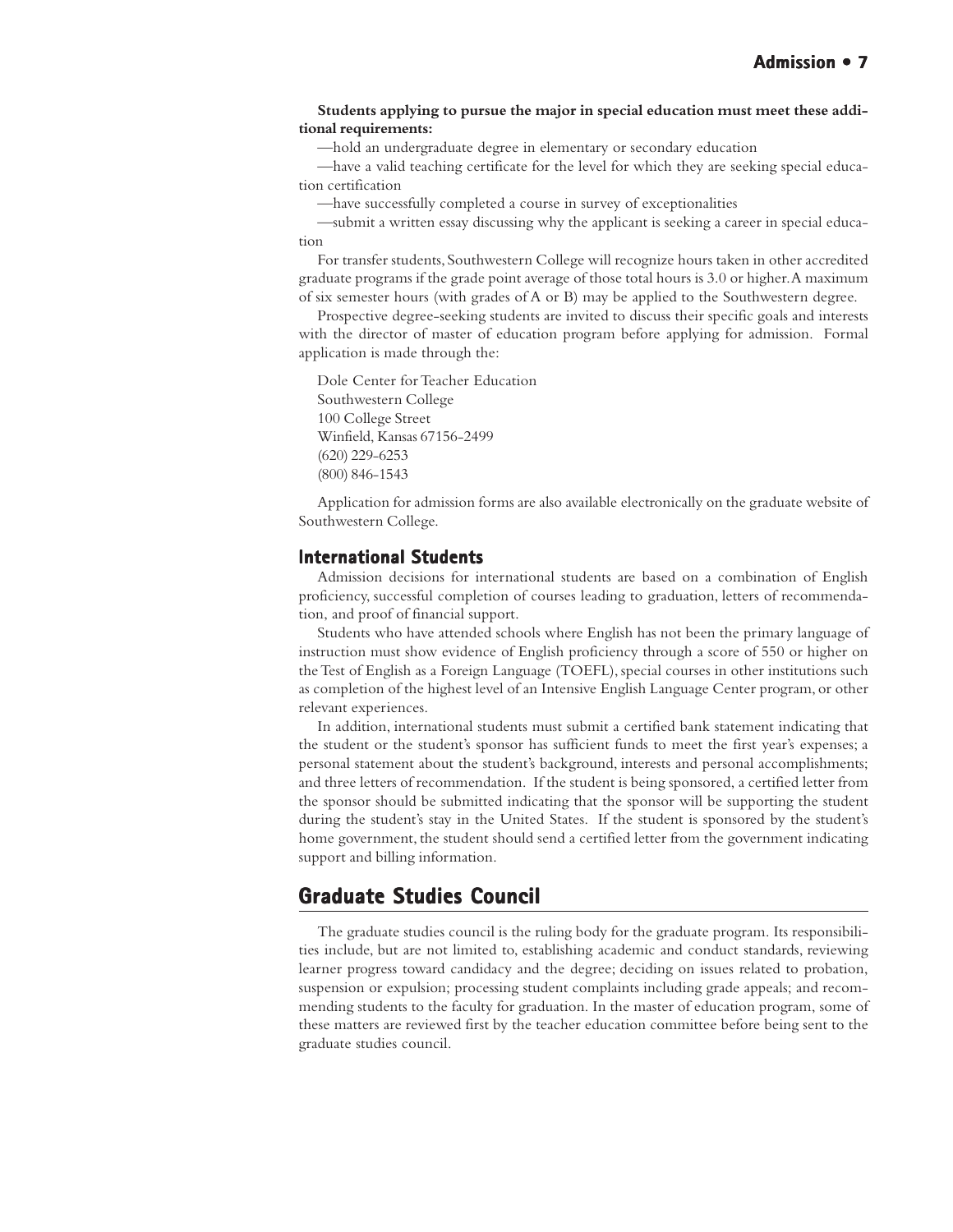#### <span id="page-6-0"></span>**Students applying to pursue the major in special education must meet these additional requirements:**

—hold an undergraduate degree in elementary or secondary education

—have a valid teaching certificate for the level for which they are seeking special education certification

—have successfully completed a course in survey of exceptionalities

—submit a written essay discussing why the applicant is seeking a career in special education

For transfer students, Southwestern College will recognize hours taken in other accredited graduate programs if the grade point average of those total hours is 3.0 or higher. A maximum of six semester hours (with grades of A or B) may be applied to the Southwestern degree.

Prospective degree-seeking students are invited to discuss their specific goals and interests with the director of master of education program before applying for admission. Formal application is made through the:

Dole Center for Teacher Education Southwestern College 100 College Street Winfield, Kansas 67156-2499 (620) 229-6253 (800) 846-1543

Application for admission forms are also available electronically on the graduate website of Southwestern College.

#### **International Students**

Admission decisions for international students are based on a combination of English proficiency, successful completion of courses leading to graduation, letters of recommendation, and proof of financial support.

Students who have attended schools where English has not been the primary language of instruction must show evidence of English proficiency through a score of 550 or higher on the Test of English as a Foreign Language (TOEFL), special courses in other institutions such as completion of the highest level of an Intensive English Language Center program, or other relevant experiences.

In addition, international students must submit a certified bank statement indicating that the student or the student's sponsor has sufficient funds to meet the first year's expenses; a personal statement about the student's background, interests and personal accomplishments; and three letters of recommendation. If the student is being sponsored, a certified letter from the sponsor should be submitted indicating that the sponsor will be supporting the student during the student's stay in the United States. If the student is sponsored by the student's home government, the student should send a certified letter from the government indicating support and billing information.

# **Graduate Studies Council Graduate Studies Council**

The graduate studies council is the ruling body for the graduate program. Its responsibilities include, but are not limited to, establishing academic and conduct standards, reviewing learner progress toward candidacy and the degree; deciding on issues related to probation, suspension or expulsion; processing student complaints including grade appeals; and recommending students to the faculty for graduation. In the master of education program, some of these matters are reviewed first by the teacher education committee before being sent to the graduate studies council.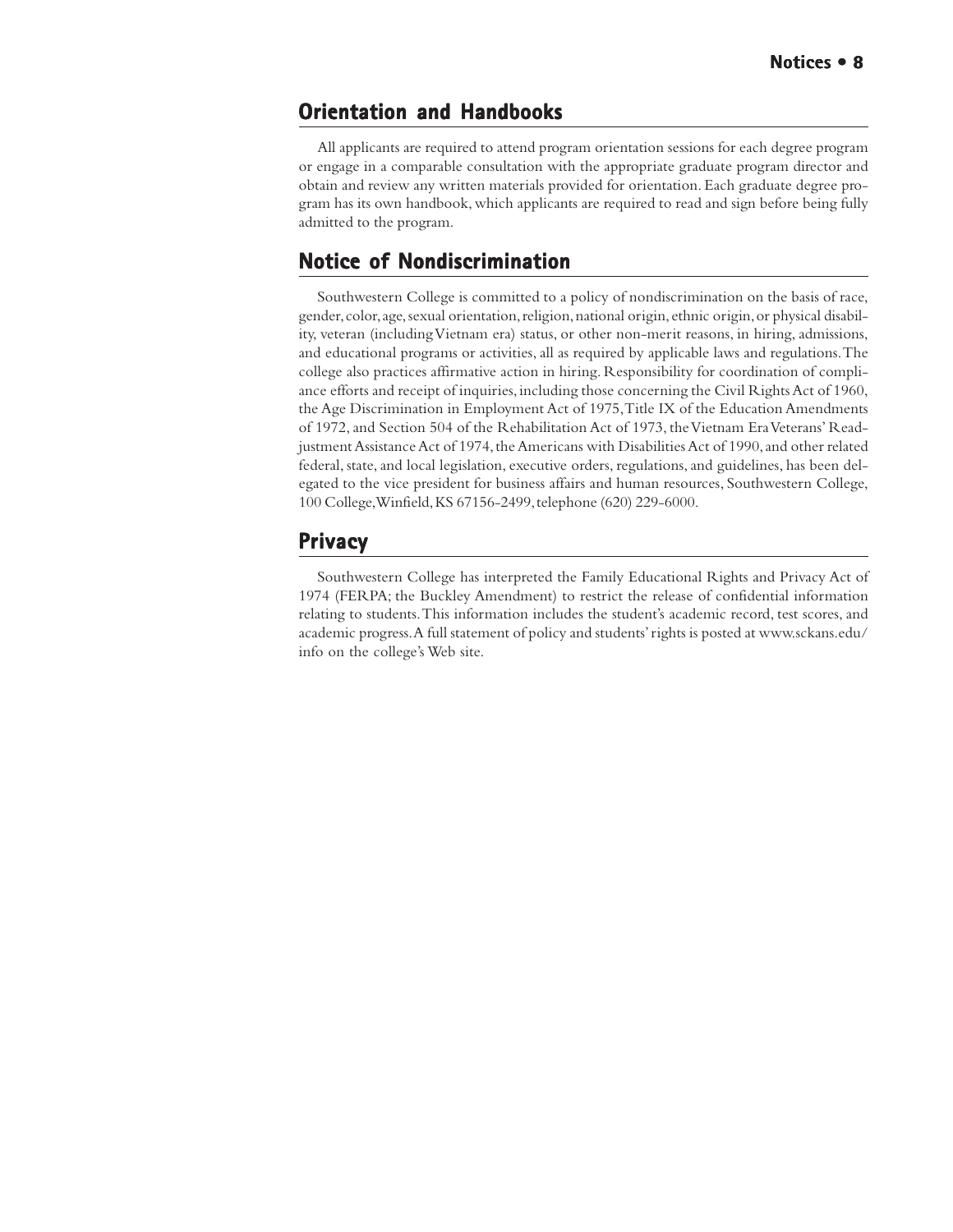# <span id="page-7-0"></span>**Orientation and Handbooks**

All applicants are required to attend program orientation sessions for each degree program or engage in a comparable consultation with the appropriate graduate program director and obtain and review any written materials provided for orientation. Each graduate degree program has its own handbook, which applicants are required to read and sign before being fully admitted to the program.

# **Notice of Nondiscrimination**

Southwestern College is committed to a policy of nondiscrimination on the basis of race, gender, color, age, sexual orientation, religion, national origin, ethnic origin, or physical disability, veteran (including Vietnam era) status, or other non-merit reasons, in hiring, admissions, and educational programs or activities, all as required by applicable laws and regulations. The college also practices affirmative action in hiring. Responsibility for coordination of compliance efforts and receipt of inquiries, including those concerning the Civil Rights Act of 1960, the Age Discrimination in Employment Act of 1975, Title IX of the Education Amendments of 1972, and Section 504 of the Rehabilitation Act of 1973, the Vietnam Era Veterans' Readjustment Assistance Act of 1974, the Americans with Disabilities Act of 1990, and other related federal, state, and local legislation, executive orders, regulations, and guidelines, has been delegated to the vice president for business affairs and human resources, Southwestern College, 100 College, Winfield, KS 67156-2499, telephone (620) 229-6000.

# **Privacy**

Southwestern College has interpreted the Family Educational Rights and Privacy Act of 1974 (FERPA; the Buckley Amendment) to restrict the release of confidential information relating to students. This information includes the student's academic record, test scores, and academic progress. A full statement of policy and students' rights is posted at www.sckans.edu/ info on the college's Web site.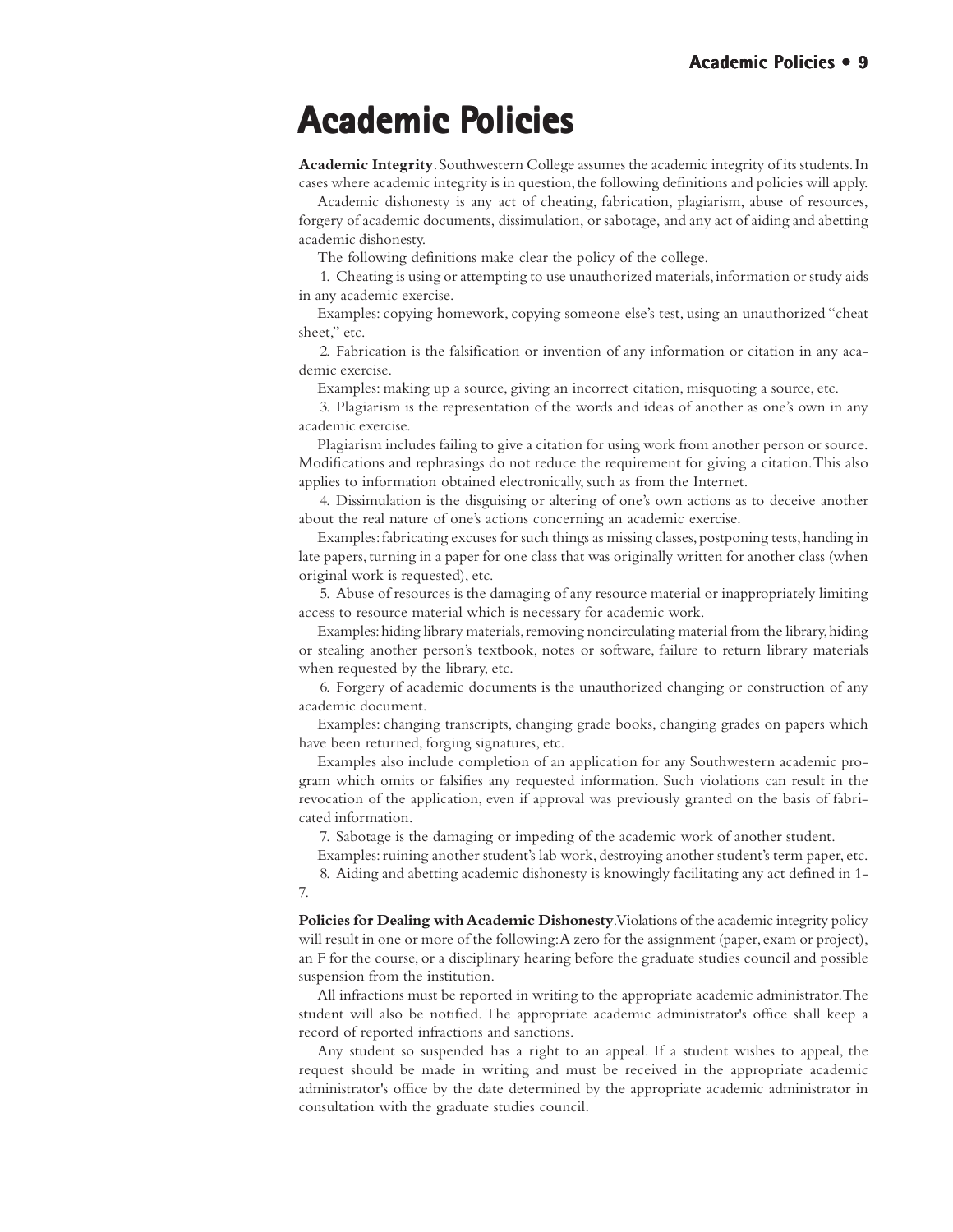# <span id="page-8-0"></span>**Academic P Policies olicies**

**Academic Integrity**. Southwestern College assumes the academic integrity of its students. In cases where academic integrity is in question, the following definitions and policies will apply.

Academic dishonesty is any act of cheating, fabrication, plagiarism, abuse of resources, forgery of academic documents, dissimulation, or sabotage, and any act of aiding and abetting academic dishonesty.

The following definitions make clear the policy of the college.

1. Cheating is using or attempting to use unauthorized materials, information or study aids in any academic exercise.

Examples: copying homework, copying someone else's test, using an unauthorized "cheat sheet," etc.

2. Fabrication is the falsification or invention of any information or citation in any academic exercise.

Examples: making up a source, giving an incorrect citation, misquoting a source, etc.

3. Plagiarism is the representation of the words and ideas of another as one's own in any academic exercise.

Plagiarism includes failing to give a citation for using work from another person or source. Modifications and rephrasings do not reduce the requirement for giving a citation. This also applies to information obtained electronically, such as from the Internet.

4. Dissimulation is the disguising or altering of one's own actions as to deceive another about the real nature of one's actions concerning an academic exercise.

Examples: fabricating excuses for such things as missing classes, postponing tests, handing in late papers, turning in a paper for one class that was originally written for another class (when original work is requested), etc.

5. Abuse of resources is the damaging of any resource material or inappropriately limiting access to resource material which is necessary for academic work.

Examples: hiding library materials, removing noncirculating material from the library, hiding or stealing another person's textbook, notes or software, failure to return library materials when requested by the library, etc.

6. Forgery of academic documents is the unauthorized changing or construction of any academic document.

Examples: changing transcripts, changing grade books, changing grades on papers which have been returned, forging signatures, etc.

Examples also include completion of an application for any Southwestern academic program which omits or falsifies any requested information. Such violations can result in the revocation of the application, even if approval was previously granted on the basis of fabricated information.

7. Sabotage is the damaging or impeding of the academic work of another student.

Examples: ruining another student's lab work, destroying another student's term paper, etc. 8. Aiding and abetting academic dishonesty is knowingly facilitating any act defined in 1-

7.

**Policies for Dealing with Academic Dishonesty**. Violations of the academic integrity policy will result in one or more of the following: A zero for the assignment (paper, exam or project), an F for the course, or a disciplinary hearing before the graduate studies council and possible suspension from the institution.

All infractions must be reported in writing to the appropriate academic administrator. The student will also be notified. The appropriate academic administrator's office shall keep a record of reported infractions and sanctions.

Any student so suspended has a right to an appeal. If a student wishes to appeal, the request should be made in writing and must be received in the appropriate academic administrator's office by the date determined by the appropriate academic administrator in consultation with the graduate studies council.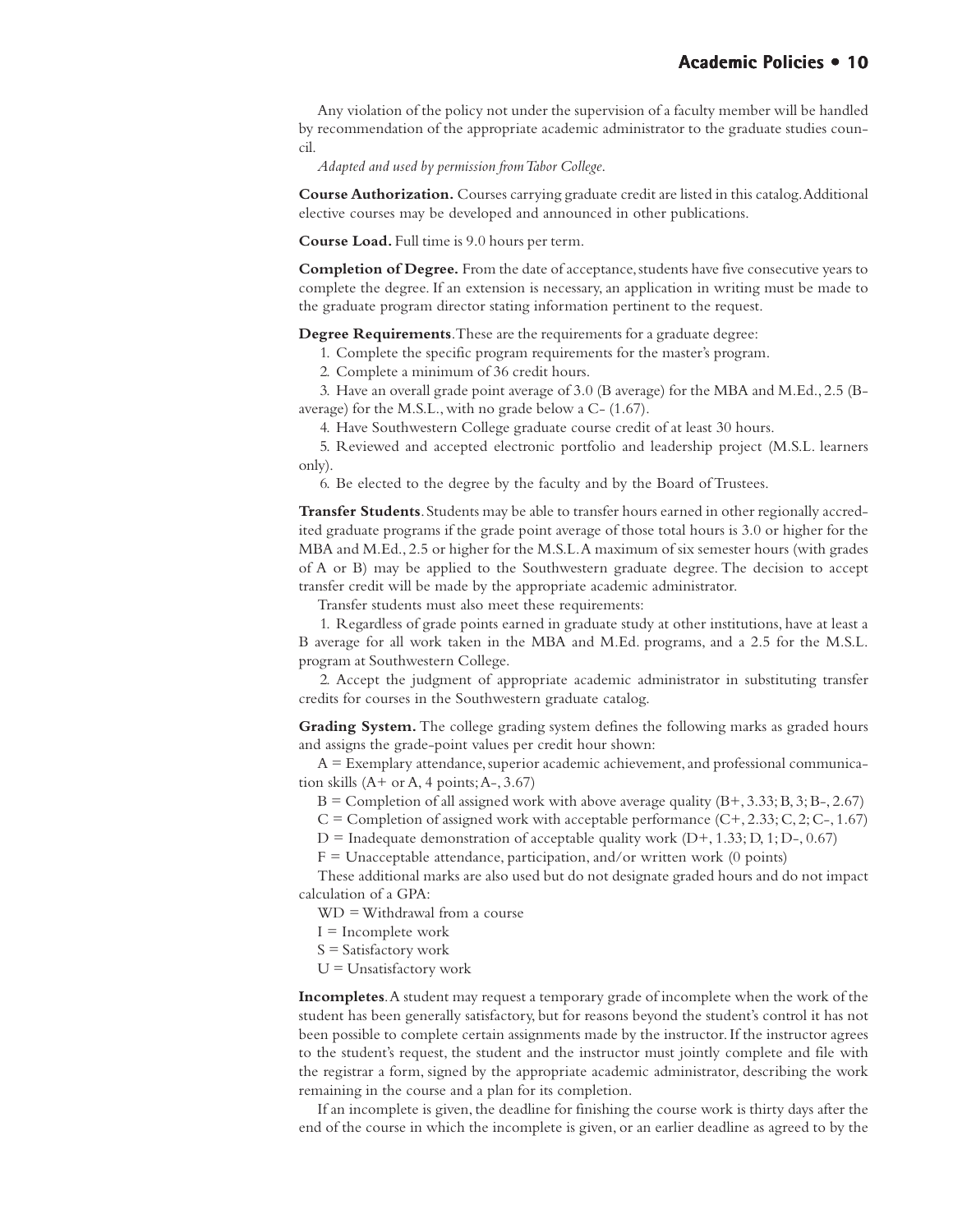<span id="page-9-0"></span>Any violation of the policy not under the supervision of a faculty member will be handled by recommendation of the appropriate academic administrator to the graduate studies council.

*Adapted and used by permission from Tabor College*.

**Course Authorization.** Courses carrying graduate credit are listed in this catalog. Additional elective courses may be developed and announced in other publications.

**Course Load.** Full time is 9.0 hours per term.

**Completion of Degree.** From the date of acceptance, students have five consecutive years to complete the degree. If an extension is necessary, an application in writing must be made to the graduate program director stating information pertinent to the request.

**Degree Requirements**. These are the requirements for a graduate degree:

1. Complete the specific program requirements for the master's program.

2. Complete a minimum of 36 credit hours.

3. Have an overall grade point average of 3.0 (B average) for the MBA and M.Ed., 2.5 (Baverage) for the M.S.L., with no grade below a C- (1.67).

4. Have Southwestern College graduate course credit of at least 30 hours.

5. Reviewed and accepted electronic portfolio and leadership project (M.S.L. learners only).

6. Be elected to the degree by the faculty and by the Board of Trustees.

**Transfer Students**. Students may be able to transfer hours earned in other regionally accredited graduate programs if the grade point average of those total hours is 3.0 or higher for the MBA and M.Ed., 2.5 or higher for the M.S.L. A maximum of six semester hours (with grades of A or B) may be applied to the Southwestern graduate degree. The decision to accept transfer credit will be made by the appropriate academic administrator.

Transfer students must also meet these requirements:

1. Regardless of grade points earned in graduate study at other institutions, have at least a B average for all work taken in the MBA and M.Ed. programs, and a 2.5 for the M.S.L. program at Southwestern College.

2. Accept the judgment of appropriate academic administrator in substituting transfer credits for courses in the Southwestern graduate catalog.

**Grading System.** The college grading system defines the following marks as graded hours and assigns the grade-point values per credit hour shown:

 $A =$  Exemplary attendance, superior academic achievement, and professional communication skills  $(A+$  or A, 4 points; A-, 3.67)

 $B =$  Completion of all assigned work with above average quality  $(B+, 3.33; B, 3; B-, 2.67)$ 

 $C =$  Completion of assigned work with acceptable performance  $(C+, 2.33; C, 2; C-, 1.67)$ 

 $D =$  Inadequate demonstration of acceptable quality work  $(D+, 1.33; D, 1; D-, 0.67)$ 

 $F =$  Unacceptable attendance, participation, and/or written work (0 points)

These additional marks are also used but do not designate graded hours and do not impact calculation of a GPA:

WD = Withdrawal from a course

 $I = Incomplete work$ 

S = Satisfactory work

 $U =$ Unsatisfactory work

**Incompletes**. A student may request a temporary grade of incomplete when the work of the student has been generally satisfactory, but for reasons beyond the student's control it has not been possible to complete certain assignments made by the instructor. If the instructor agrees to the student's request, the student and the instructor must jointly complete and file with the registrar a form, signed by the appropriate academic administrator, describing the work remaining in the course and a plan for its completion.

If an incomplete is given, the deadline for finishing the course work is thirty days after the end of the course in which the incomplete is given, or an earlier deadline as agreed to by the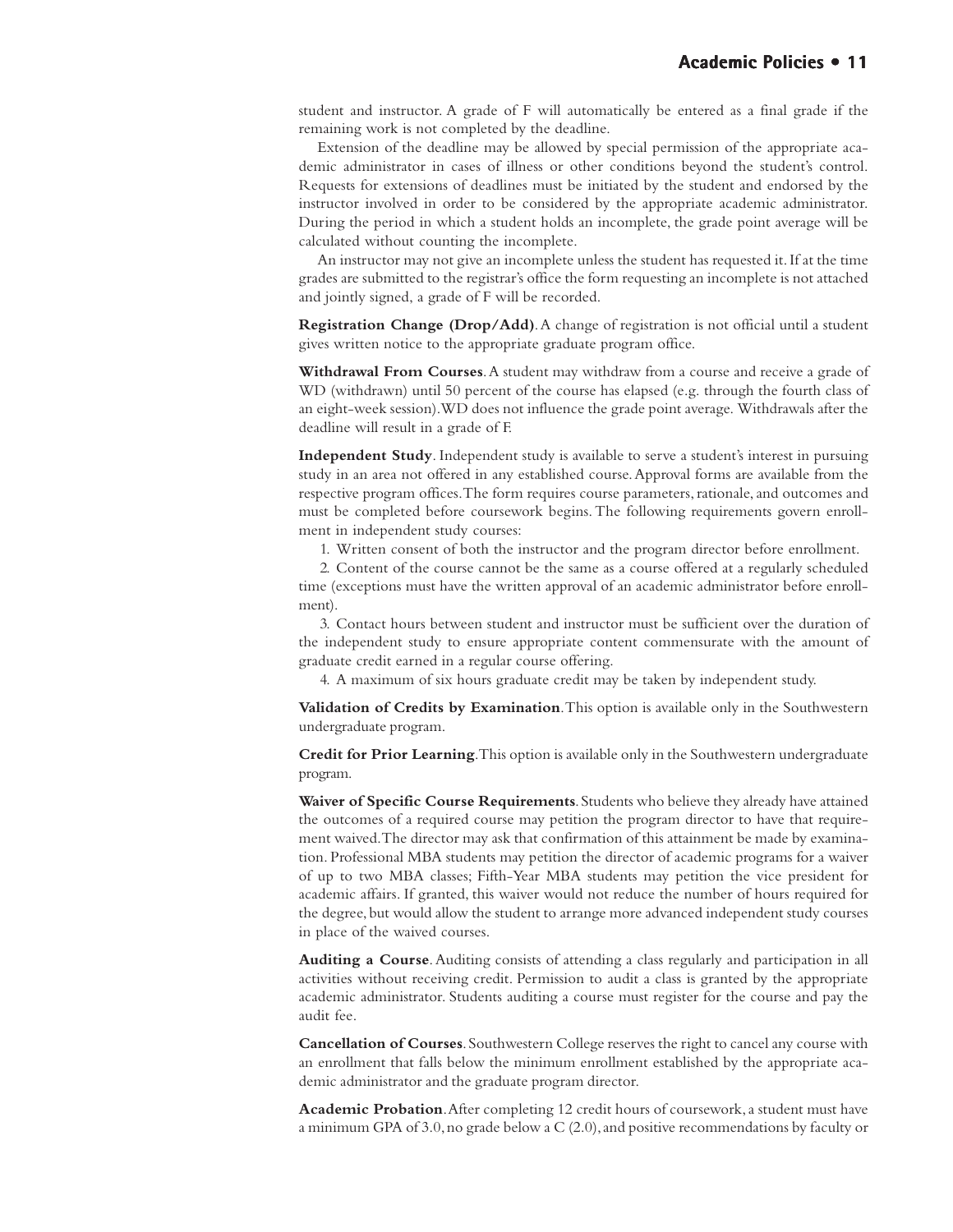<span id="page-10-0"></span>student and instructor. A grade of F will automatically be entered as a final grade if the remaining work is not completed by the deadline.

Extension of the deadline may be allowed by special permission of the appropriate academic administrator in cases of illness or other conditions beyond the student's control. Requests for extensions of deadlines must be initiated by the student and endorsed by the instructor involved in order to be considered by the appropriate academic administrator. During the period in which a student holds an incomplete, the grade point average will be calculated without counting the incomplete.

An instructor may not give an incomplete unless the student has requested it. If at the time grades are submitted to the registrar's office the form requesting an incomplete is not attached and jointly signed, a grade of F will be recorded.

**Registration Change (Drop/Add)**. A change of registration is not official until a student gives written notice to the appropriate graduate program office.

**Withdrawal From Courses**. A student may withdraw from a course and receive a grade of WD (withdrawn) until 50 percent of the course has elapsed (e.g. through the fourth class of an eight-week session). WD does not influence the grade point average. Withdrawals after the deadline will result in a grade of F.

**Independent Study**. Independent study is available to serve a student's interest in pursuing study in an area not offered in any established course. Approval forms are available from the respective program offices. The form requires course parameters, rationale, and outcomes and must be completed before coursework begins. The following requirements govern enrollment in independent study courses:

1. Written consent of both the instructor and the program director before enrollment.

2. Content of the course cannot be the same as a course offered at a regularly scheduled time (exceptions must have the written approval of an academic administrator before enrollment).

3. Contact hours between student and instructor must be sufficient over the duration of the independent study to ensure appropriate content commensurate with the amount of graduate credit earned in a regular course offering.

4. A maximum of six hours graduate credit may be taken by independent study.

**Validation of Credits by Examination**. This option is available only in the Southwestern undergraduate program.

**Credit for Prior Learning**. This option is available only in the Southwestern undergraduate program.

**Waiver of Specific Course Requirements**. Students who believe they already have attained the outcomes of a required course may petition the program director to have that requirement waived. The director may ask that confirmation of this attainment be made by examination. Professional MBA students may petition the director of academic programs for a waiver of up to two MBA classes; Fifth-Year MBA students may petition the vice president for academic affairs. If granted, this waiver would not reduce the number of hours required for the degree, but would allow the student to arrange more advanced independent study courses in place of the waived courses.

**Auditing a Course**. Auditing consists of attending a class regularly and participation in all activities without receiving credit. Permission to audit a class is granted by the appropriate academic administrator. Students auditing a course must register for the course and pay the audit fee.

**Cancellation of Courses**. Southwestern College reserves the right to cancel any course with an enrollment that falls below the minimum enrollment established by the appropriate academic administrator and the graduate program director.

**Academic Probation**. After completing 12 credit hours of coursework, a student must have a minimum GPA of 3.0, no grade below a C (2.0), and positive recommendations by faculty or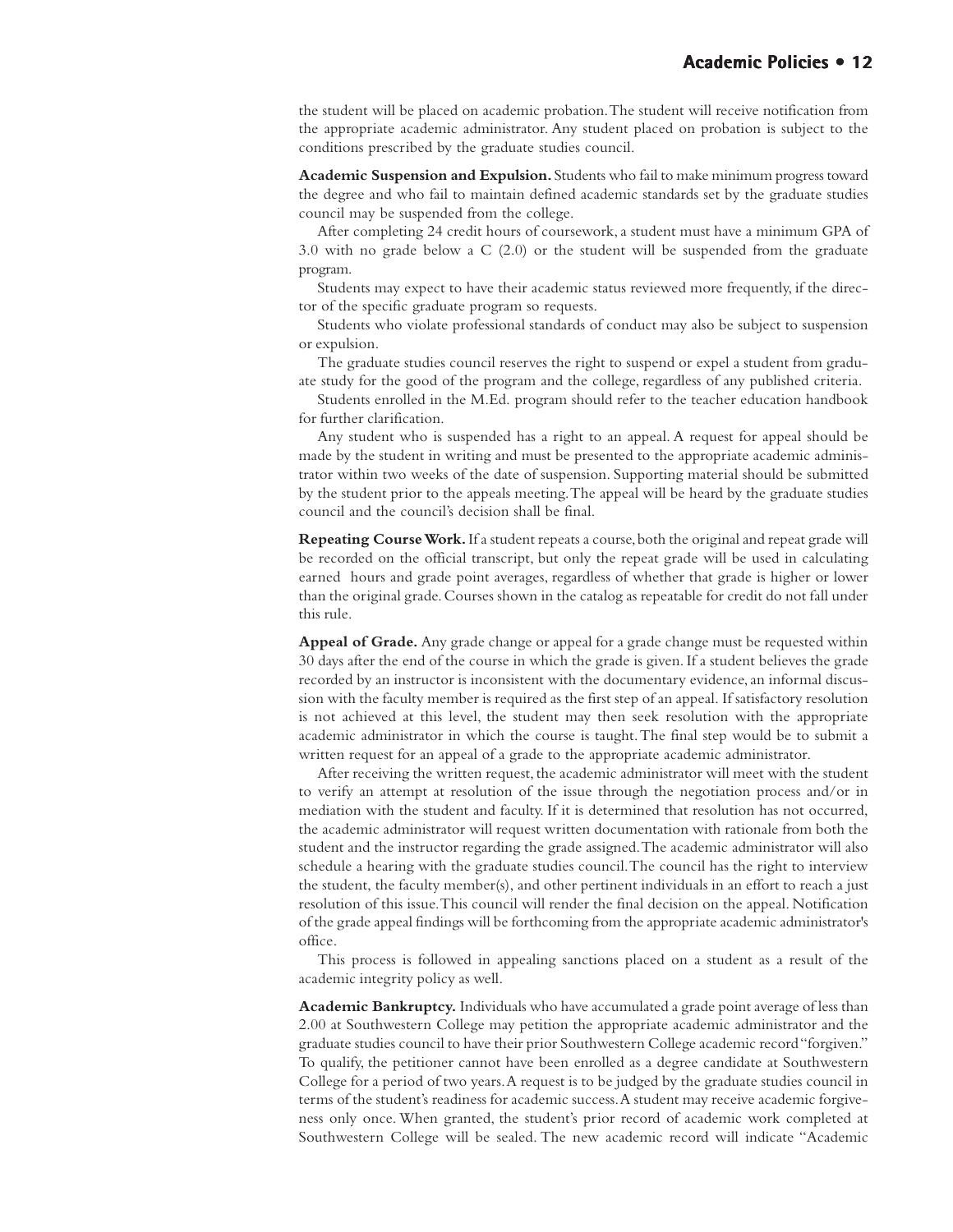<span id="page-11-0"></span>the student will be placed on academic probation. The student will receive notification from the appropriate academic administrator. Any student placed on probation is subject to the conditions prescribed by the graduate studies council.

**Academic Suspension and Expulsion.** Students who fail to make minimum progress toward the degree and who fail to maintain defined academic standards set by the graduate studies council may be suspended from the college.

After completing 24 credit hours of coursework, a student must have a minimum GPA of 3.0 with no grade below a C (2.0) or the student will be suspended from the graduate program.

Students may expect to have their academic status reviewed more frequently, if the director of the specific graduate program so requests.

Students who violate professional standards of conduct may also be subject to suspension or expulsion.

The graduate studies council reserves the right to suspend or expel a student from graduate study for the good of the program and the college, regardless of any published criteria.

Students enrolled in the M.Ed. program should refer to the teacher education handbook for further clarification.

Any student who is suspended has a right to an appeal. A request for appeal should be made by the student in writing and must be presented to the appropriate academic administrator within two weeks of the date of suspension. Supporting material should be submitted by the student prior to the appeals meeting. The appeal will be heard by the graduate studies council and the council's decision shall be final.

**Repeating Course Work.** If a student repeats a course, both the original and repeat grade will be recorded on the official transcript, but only the repeat grade will be used in calculating earned hours and grade point averages, regardless of whether that grade is higher or lower than the original grade. Courses shown in the catalog as repeatable for credit do not fall under this rule.

**Appeal of Grade.** Any grade change or appeal for a grade change must be requested within 30 days after the end of the course in which the grade is given. If a student believes the grade recorded by an instructor is inconsistent with the documentary evidence, an informal discussion with the faculty member is required as the first step of an appeal. If satisfactory resolution is not achieved at this level, the student may then seek resolution with the appropriate academic administrator in which the course is taught. The final step would be to submit a written request for an appeal of a grade to the appropriate academic administrator.

After receiving the written request, the academic administrator will meet with the student to verify an attempt at resolution of the issue through the negotiation process and/or in mediation with the student and faculty. If it is determined that resolution has not occurred, the academic administrator will request written documentation with rationale from both the student and the instructor regarding the grade assigned. The academic administrator will also schedule a hearing with the graduate studies council. The council has the right to interview the student, the faculty member(s), and other pertinent individuals in an effort to reach a just resolution of this issue. This council will render the final decision on the appeal. Notification of the grade appeal findings will be forthcoming from the appropriate academic administrator's office.

This process is followed in appealing sanctions placed on a student as a result of the academic integrity policy as well.

**Academic Bankruptcy.** Individuals who have accumulated a grade point average of less than 2.00 at Southwestern College may petition the appropriate academic administrator and the graduate studies council to have their prior Southwestern College academic record "forgiven." To qualify, the petitioner cannot have been enrolled as a degree candidate at Southwestern College for a period of two years. A request is to be judged by the graduate studies council in terms of the student's readiness for academic success. A student may receive academic forgiveness only once. When granted, the student's prior record of academic work completed at Southwestern College will be sealed. The new academic record will indicate "Academic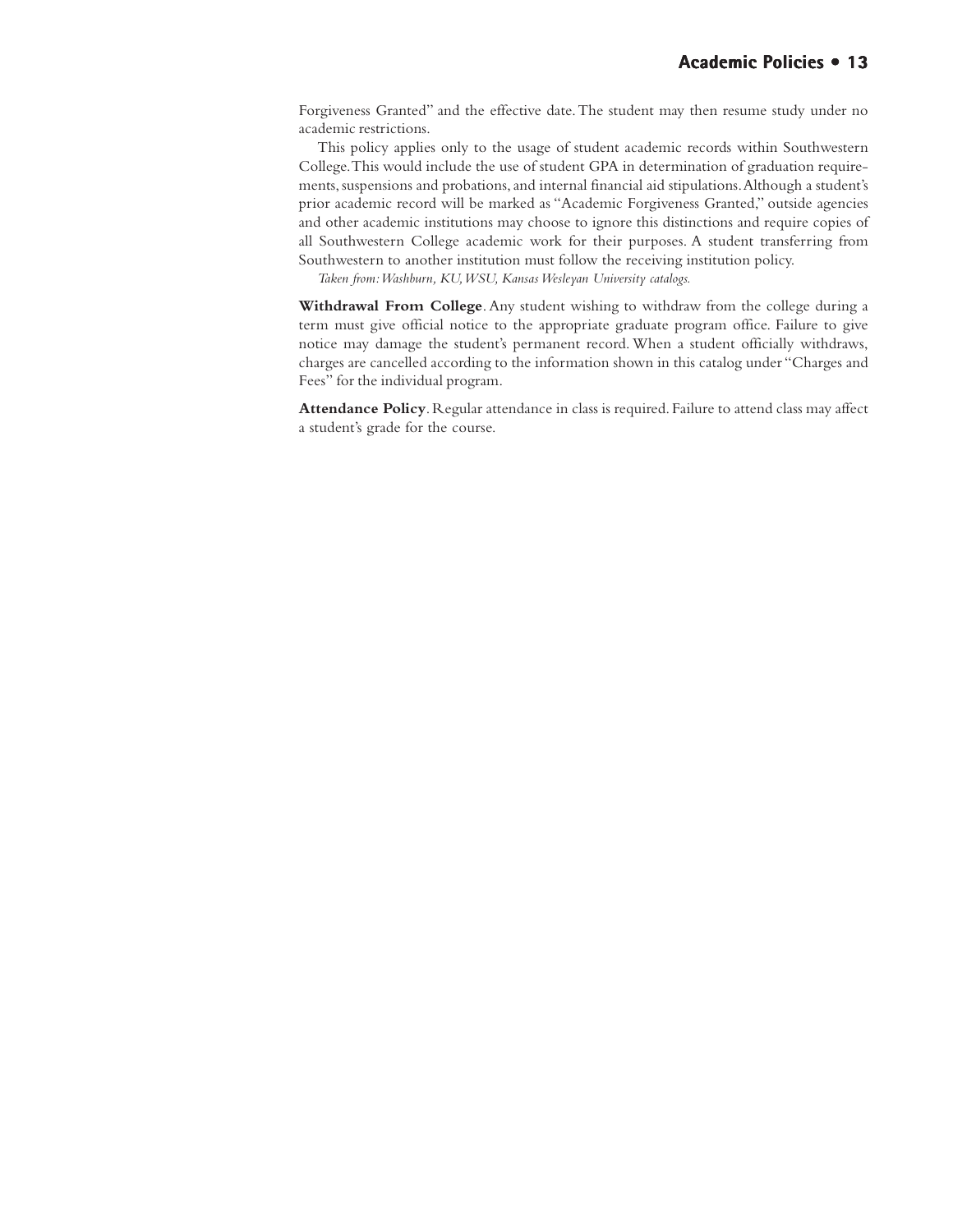<span id="page-12-0"></span>Forgiveness Granted" and the effective date. The student may then resume study under no academic restrictions.

This policy applies only to the usage of student academic records within Southwestern College. This would include the use of student GPA in determination of graduation requirements, suspensions and probations, and internal financial aid stipulations. Although a student's prior academic record will be marked as "Academic Forgiveness Granted," outside agencies and other academic institutions may choose to ignore this distinctions and require copies of all Southwestern College academic work for their purposes. A student transferring from Southwestern to another institution must follow the receiving institution policy.

*Taken from: Washburn, KU, WSU, Kansas Wesleyan University catalogs.*

**Withdrawal From College**. Any student wishing to withdraw from the college during a term must give official notice to the appropriate graduate program office. Failure to give notice may damage the student's permanent record. When a student officially withdraws, charges are cancelled according to the information shown in this catalog under "Charges and Fees" for the individual program.

**Attendance Policy**. Regular attendance in class is required. Failure to attend class may affect a student's grade for the course.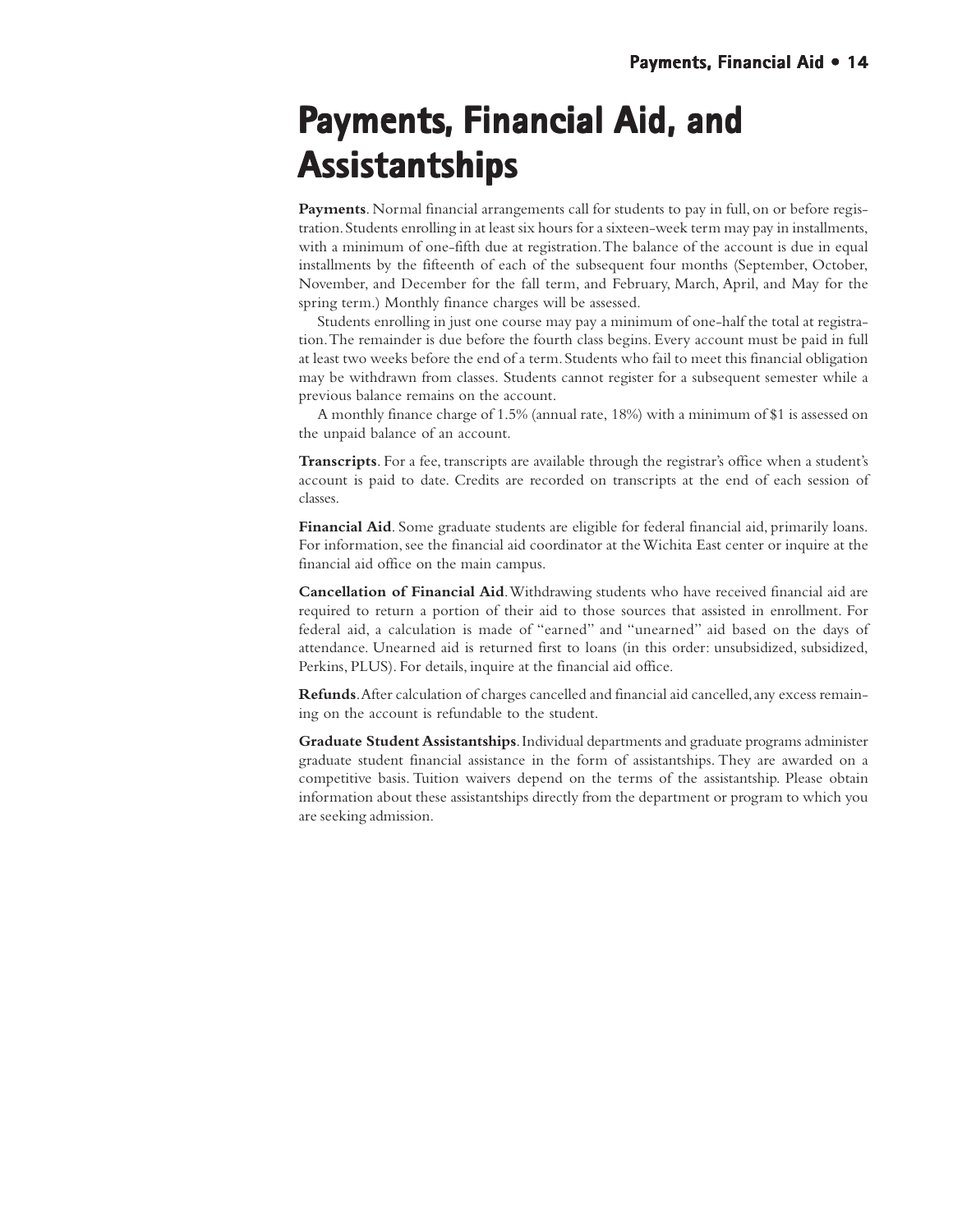# <span id="page-13-0"></span>**Payments, Financial Aid, and Assistantships**

**Payments**. Normal financial arrangements call for students to pay in full, on or before registration. Students enrolling in at least six hours for a sixteen-week term may pay in installments, with a minimum of one-fifth due at registration. The balance of the account is due in equal installments by the fifteenth of each of the subsequent four months (September, October, November, and December for the fall term, and February, March, April, and May for the spring term.) Monthly finance charges will be assessed.

Students enrolling in just one course may pay a minimum of one-half the total at registration. The remainder is due before the fourth class begins. Every account must be paid in full at least two weeks before the end of a term. Students who fail to meet this financial obligation may be withdrawn from classes. Students cannot register for a subsequent semester while a previous balance remains on the account.

A monthly finance charge of 1.5% (annual rate, 18%) with a minimum of \$1 is assessed on the unpaid balance of an account.

**Transcripts**. For a fee, transcripts are available through the registrar's office when a student's account is paid to date. Credits are recorded on transcripts at the end of each session of classes.

**Financial Aid**. Some graduate students are eligible for federal financial aid, primarily loans. For information, see the financial aid coordinator at the Wichita East center or inquire at the financial aid office on the main campus.

**Cancellation of Financial Aid**. Withdrawing students who have received financial aid are required to return a portion of their aid to those sources that assisted in enrollment. For federal aid, a calculation is made of "earned" and "unearned" aid based on the days of attendance. Unearned aid is returned first to loans (in this order: unsubsidized, subsidized, Perkins, PLUS). For details, inquire at the financial aid office.

**Refunds**. After calculation of charges cancelled and financial aid cancelled, any excess remaining on the account is refundable to the student.

**Graduate Student Assistantships**. Individual departments and graduate programs administer graduate student financial assistance in the form of assistantships. They are awarded on a competitive basis. Tuition waivers depend on the terms of the assistantship. Please obtain information about these assistantships directly from the department or program to which you are seeking admission.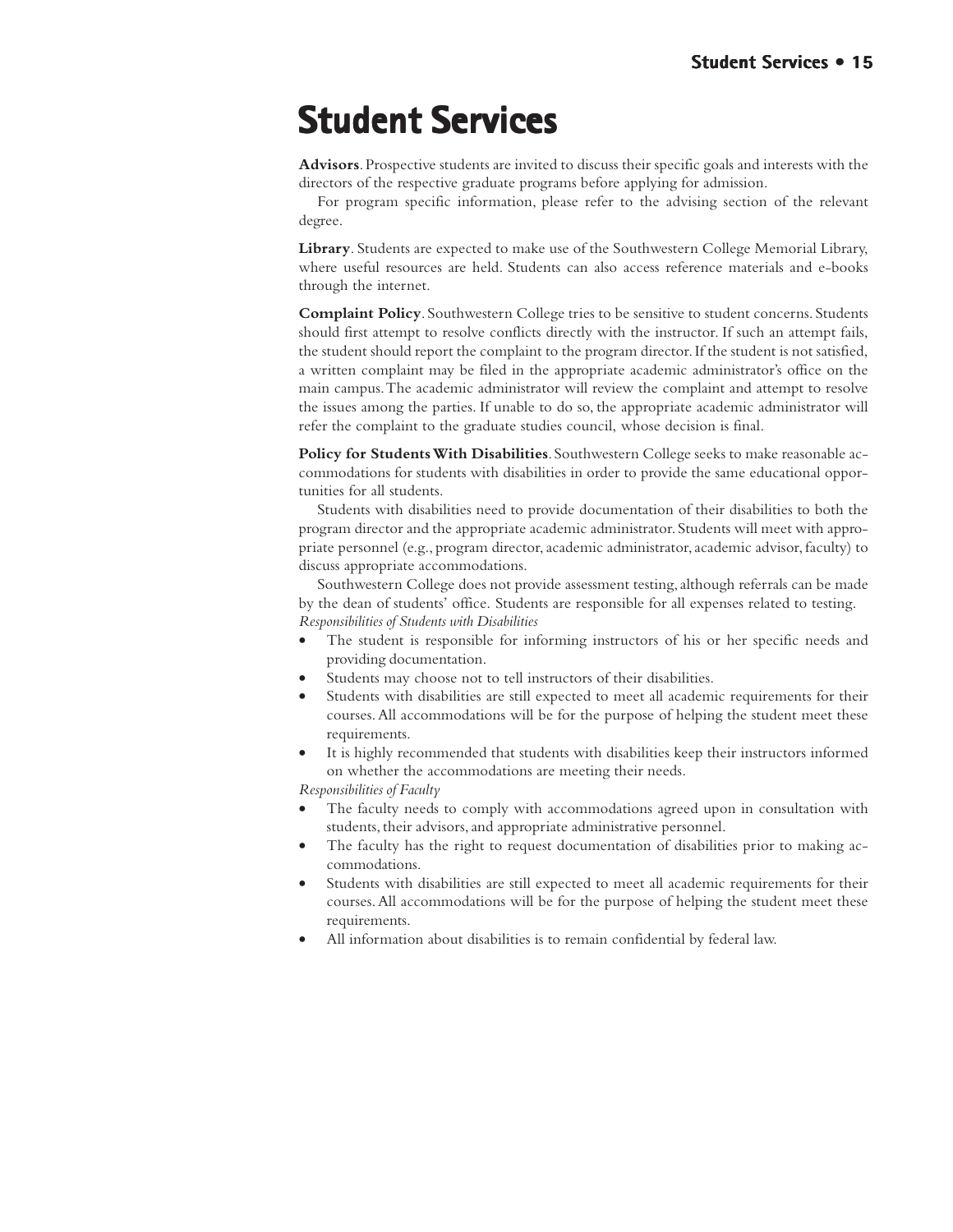# <span id="page-14-0"></span>**Student Services Student Services Services**

**Advisors**. Prospective students are invited to discuss their specific goals and interests with the directors of the respective graduate programs before applying for admission.

For program specific information, please refer to the advising section of the relevant degree.

**Library**. Students are expected to make use of the Southwestern College Memorial Library, where useful resources are held. Students can also access reference materials and e-books through the internet.

**Complaint Policy**. Southwestern College tries to be sensitive to student concerns. Students should first attempt to resolve conflicts directly with the instructor. If such an attempt fails, the student should report the complaint to the program director. If the student is not satisfied, a written complaint may be filed in the appropriate academic administrator's office on the main campus. The academic administrator will review the complaint and attempt to resolve the issues among the parties. If unable to do so, the appropriate academic administrator will refer the complaint to the graduate studies council, whose decision is final.

**Policy for Students With Disabilities**. Southwestern College seeks to make reasonable accommodations for students with disabilities in order to provide the same educational opportunities for all students.

Students with disabilities need to provide documentation of their disabilities to both the program director and the appropriate academic administrator. Students will meet with appropriate personnel (e.g., program director, academic administrator, academic advisor, faculty) to discuss appropriate accommodations.

Southwestern College does not provide assessment testing, although referrals can be made by the dean of students' office. Students are responsible for all expenses related to testing. *Responsibilities of Students with Disabilities*

- The student is responsible for informing instructors of his or her specific needs and providing documentation.
- Students may choose not to tell instructors of their disabilities.
- Students with disabilities are still expected to meet all academic requirements for their courses. All accommodations will be for the purpose of helping the student meet these requirements.
- It is highly recommended that students with disabilities keep their instructors informed on whether the accommodations are meeting their needs.

*Responsibilities of Faculty*

- The faculty needs to comply with accommodations agreed upon in consultation with students, their advisors, and appropriate administrative personnel.
- The faculty has the right to request documentation of disabilities prior to making accommodations.
- Students with disabilities are still expected to meet all academic requirements for their courses. All accommodations will be for the purpose of helping the student meet these requirements.
- All information about disabilities is to remain confidential by federal law.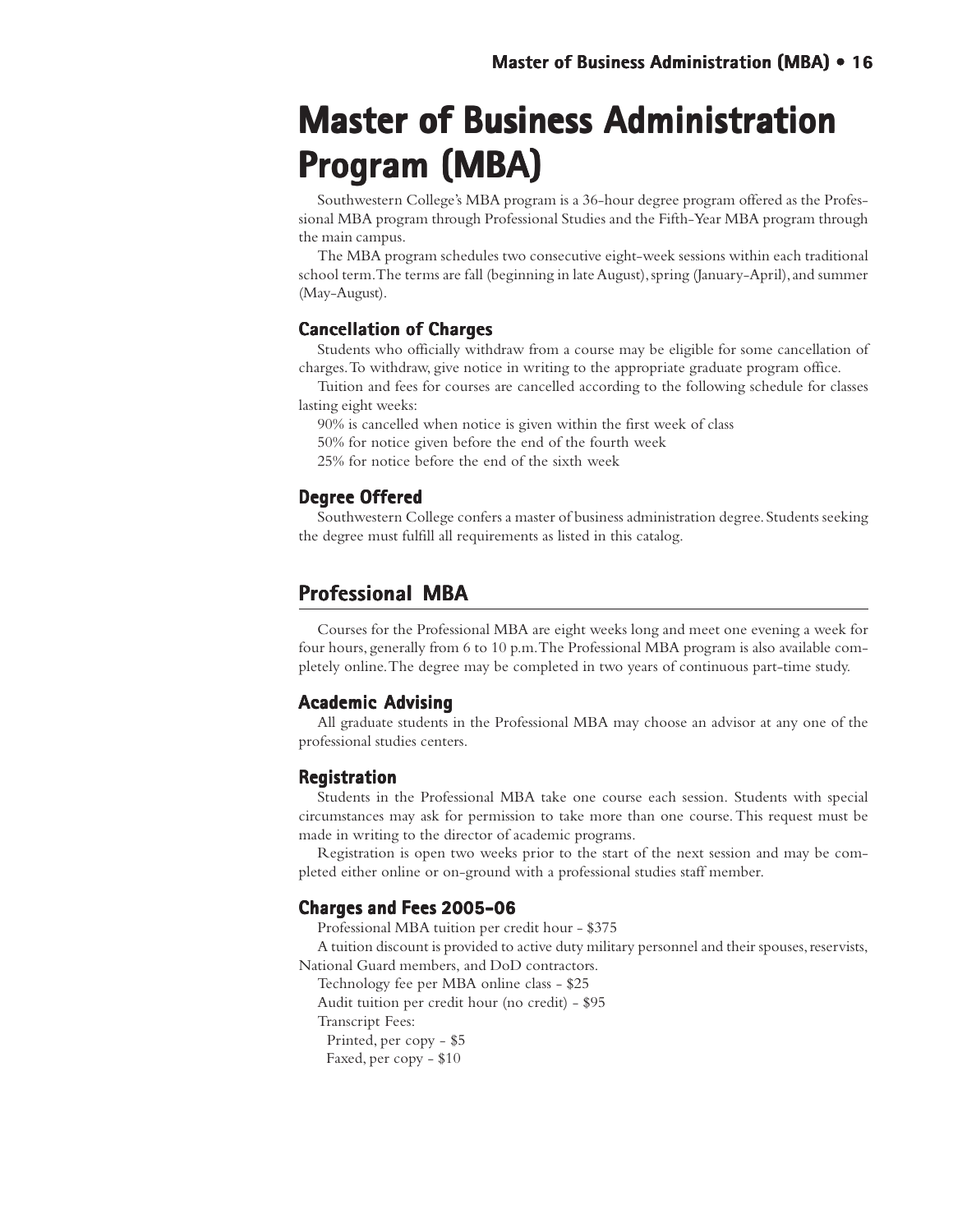# <span id="page-15-0"></span>**Master of Business Administration Master of Business Administration Program (MBA) (MBA)**

Southwestern College's MBA program is a 36-hour degree program offered as the Professional MBA program through Professional Studies and the Fifth-Year MBA program through the main campus.

The MBA program schedules two consecutive eight-week sessions within each traditional school term. The terms are fall (beginning in late August), spring (January-April), and summer (May-August).

## **Cancellation of Charges of Charges**

Students who officially withdraw from a course may be eligible for some cancellation of charges. To withdraw, give notice in writing to the appropriate graduate program office.

Tuition and fees for courses are cancelled according to the following schedule for classes lasting eight weeks:

90% is cancelled when notice is given within the first week of class

50% for notice given before the end of the fourth week

25% for notice before the end of the sixth week

## **Degree Offered**

Southwestern College confers a master of business administration degree. Students seeking the degree must fulfill all requirements as listed in this catalog.

# **Professional MBA**

Courses for the Professional MBA are eight weeks long and meet one evening a week for four hours, generally from 6 to 10 p.m. The Professional MBA program is also available completely online. The degree may be completed in two years of continuous part-time study.

# **Academic Advising**

All graduate students in the Professional MBA may choose an advisor at any one of the professional studies centers.

### **Registration**

Students in the Professional MBA take one course each session. Students with special circumstances may ask for permission to take more than one course. This request must be made in writing to the director of academic programs.

Registration is open two weeks prior to the start of the next session and may be completed either online or on-ground with a professional studies staff member.

# **Charges and Fees 2005-06**

Professional MBA tuition per credit hour - \$375 A tuition discount is provided to active duty military personnel and their spouses, reservists, National Guard members, and DoD contractors. Technology fee per MBA online class - \$25 Audit tuition per credit hour (no credit) - \$95 Transcript Fees: Printed, per copy - \$5 Faxed, per copy - \$10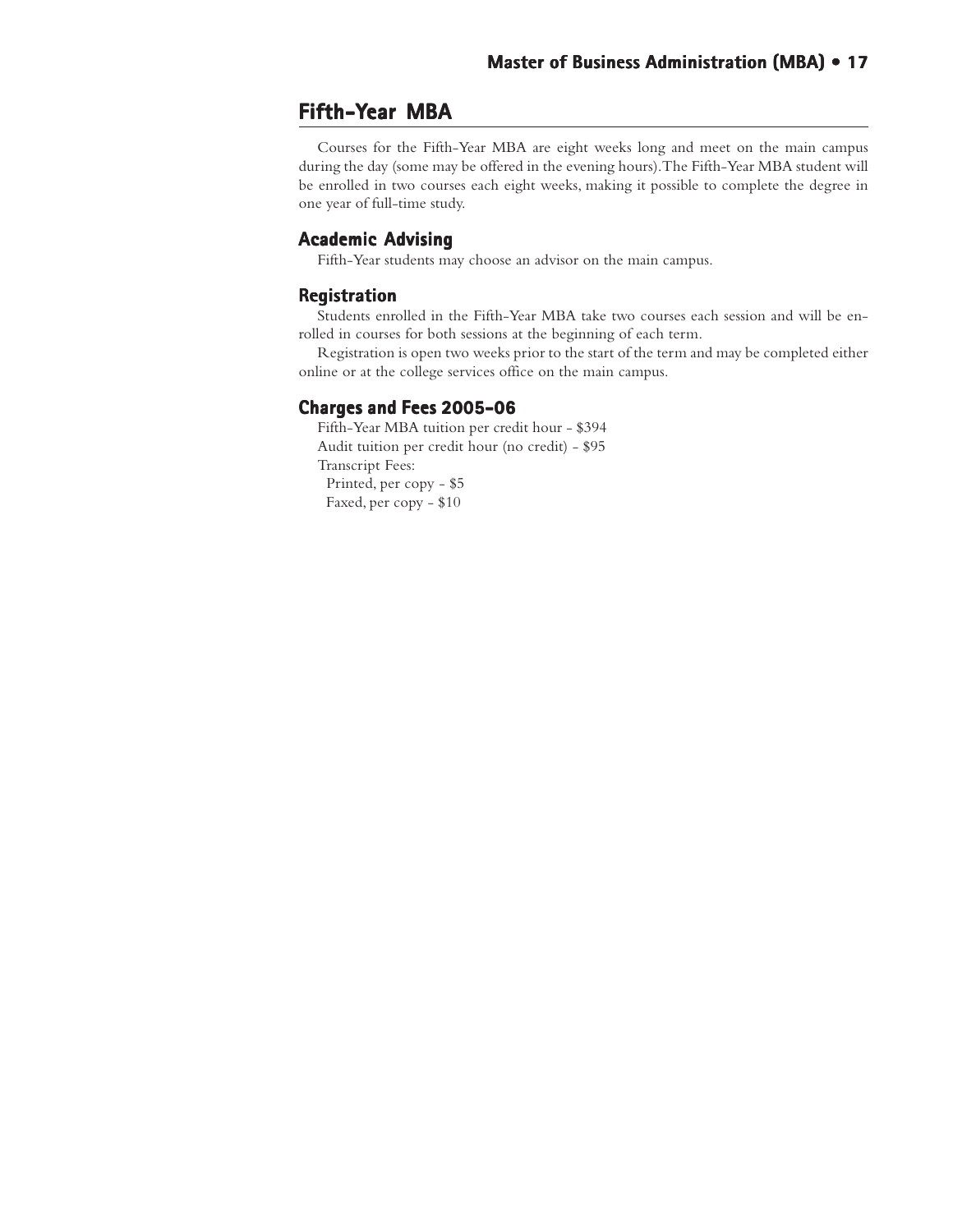# <span id="page-16-0"></span>**Fifth-Year MBA**

Courses for the Fifth-Year MBA are eight weeks long and meet on the main campus during the day (some may be offered in the evening hours). The Fifth-Year MBA student will be enrolled in two courses each eight weeks, making it possible to complete the degree in one year of full-time study.

#### **Academic Advising**

Fifth-Year students may choose an advisor on the main campus.

#### **Registration**

Students enrolled in the Fifth-Year MBA take two courses each session and will be enrolled in courses for both sessions at the beginning of each term.

Registration is open two weeks prior to the start of the term and may be completed either online or at the college services office on the main campus.

#### **Charges and Fees 2005-06**

Fifth-Year MBA tuition per credit hour - \$394 Audit tuition per credit hour (no credit) - \$95 Transcript Fees: Printed, per copy - \$5 Faxed, per copy - \$10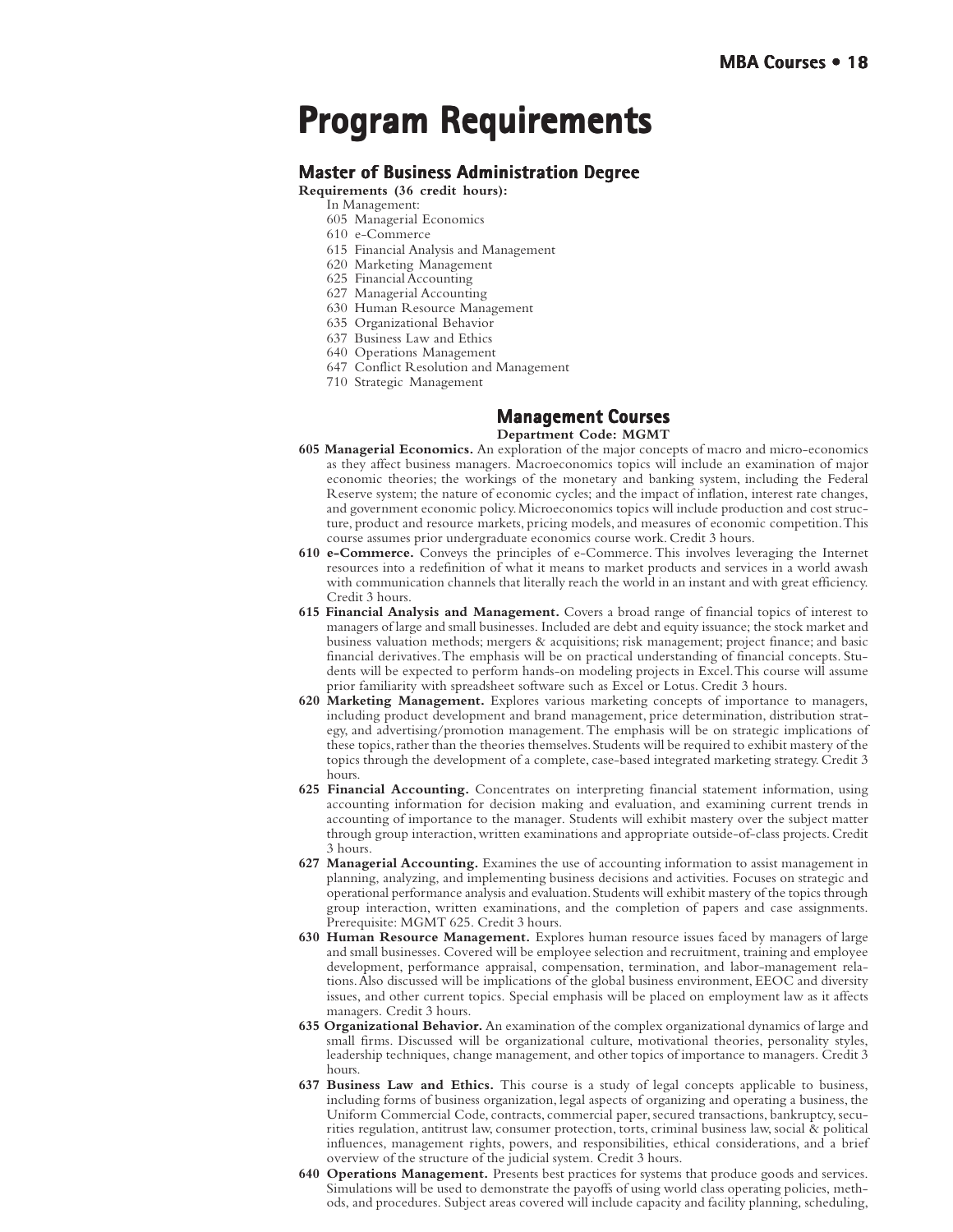# <span id="page-17-0"></span>**Program Requirements**

#### **Master of Business Administration Degree**

#### **Requirements (36 credit hours):**

- In Management:
- 605 Managerial Economics
- 610 e-Commerce
- 615 Financial Analysis and Management
- 620 Marketing Management
- 625 Financial Accounting
- 627 Managerial Accounting
- 630 Human Resource Management
- 635 Organizational Behavior
- 637 Business Law and Ethics
- 640 Operations Management
- 647 Conflict Resolution and Management
- 710 Strategic Management

#### **Management Courses Management Courses**

#### **Department Code: MGMT**

- **605 Managerial Economics.** An exploration of the major concepts of macro and micro-economics as they affect business managers. Macroeconomics topics will include an examination of major economic theories; the workings of the monetary and banking system, including the Federal Reserve system; the nature of economic cycles; and the impact of inflation, interest rate changes, and government economic policy. Microeconomics topics will include production and cost structure, product and resource markets, pricing models, and measures of economic competition. This course assumes prior undergraduate economics course work. Credit 3 hours.
- **610 e-Commerce.** Conveys the principles of e-Commerce. This involves leveraging the Internet resources into a redefinition of what it means to market products and services in a world awash with communication channels that literally reach the world in an instant and with great efficiency. Credit 3 hours.
- **615 Financial Analysis and Management.** Covers a broad range of financial topics of interest to managers of large and small businesses. Included are debt and equity issuance; the stock market and business valuation methods; mergers & acquisitions; risk management; project finance; and basic financial derivatives. The emphasis will be on practical understanding of financial concepts. Students will be expected to perform hands-on modeling projects in Excel. This course will assume prior familiarity with spreadsheet software such as Excel or Lotus. Credit 3 hours.
- **620 Marketing Management.** Explores various marketing concepts of importance to managers, including product development and brand management, price determination, distribution strategy, and advertising/promotion management. The emphasis will be on strategic implications of these topics, rather than the theories themselves. Students will be required to exhibit mastery of the topics through the development of a complete, case-based integrated marketing strategy. Credit 3 hours.
- **625 Financial Accounting.** Concentrates on interpreting financial statement information, using accounting information for decision making and evaluation, and examining current trends in accounting of importance to the manager. Students will exhibit mastery over the subject matter through group interaction, written examinations and appropriate outside-of-class projects. Credit 3 hours.
- **627 Managerial Accounting.** Examines the use of accounting information to assist management in planning, analyzing, and implementing business decisions and activities. Focuses on strategic and operational performance analysis and evaluation. Students will exhibit mastery of the topics through group interaction, written examinations, and the completion of papers and case assignments. Prerequisite: MGMT 625. Credit 3 hours.
- **630 Human Resource Management.** Explores human resource issues faced by managers of large and small businesses. Covered will be employee selection and recruitment, training and employee development, performance appraisal, compensation, termination, and labor-management relations. Also discussed will be implications of the global business environment, EEOC and diversity issues, and other current topics. Special emphasis will be placed on employment law as it affects managers. Credit 3 hours.
- **635 Organizational Behavior.** An examination of the complex organizational dynamics of large and small firms. Discussed will be organizational culture, motivational theories, personality styles, leadership techniques, change management, and other topics of importance to managers. Credit 3 hours.
- **637 Business Law and Ethics.** This course is a study of legal concepts applicable to business, including forms of business organization, legal aspects of organizing and operating a business, the Uniform Commercial Code, contracts, commercial paper, secured transactions, bankruptcy, securities regulation, antitrust law, consumer protection, torts, criminal business law, social & political influences, management rights, powers, and responsibilities, ethical considerations, and a brief overview of the structure of the judicial system. Credit 3 hours.
- **640 Operations Management.** Presents best practices for systems that produce goods and services. Simulations will be used to demonstrate the payoffs of using world class operating policies, methods, and procedures. Subject areas covered will include capacity and facility planning, scheduling,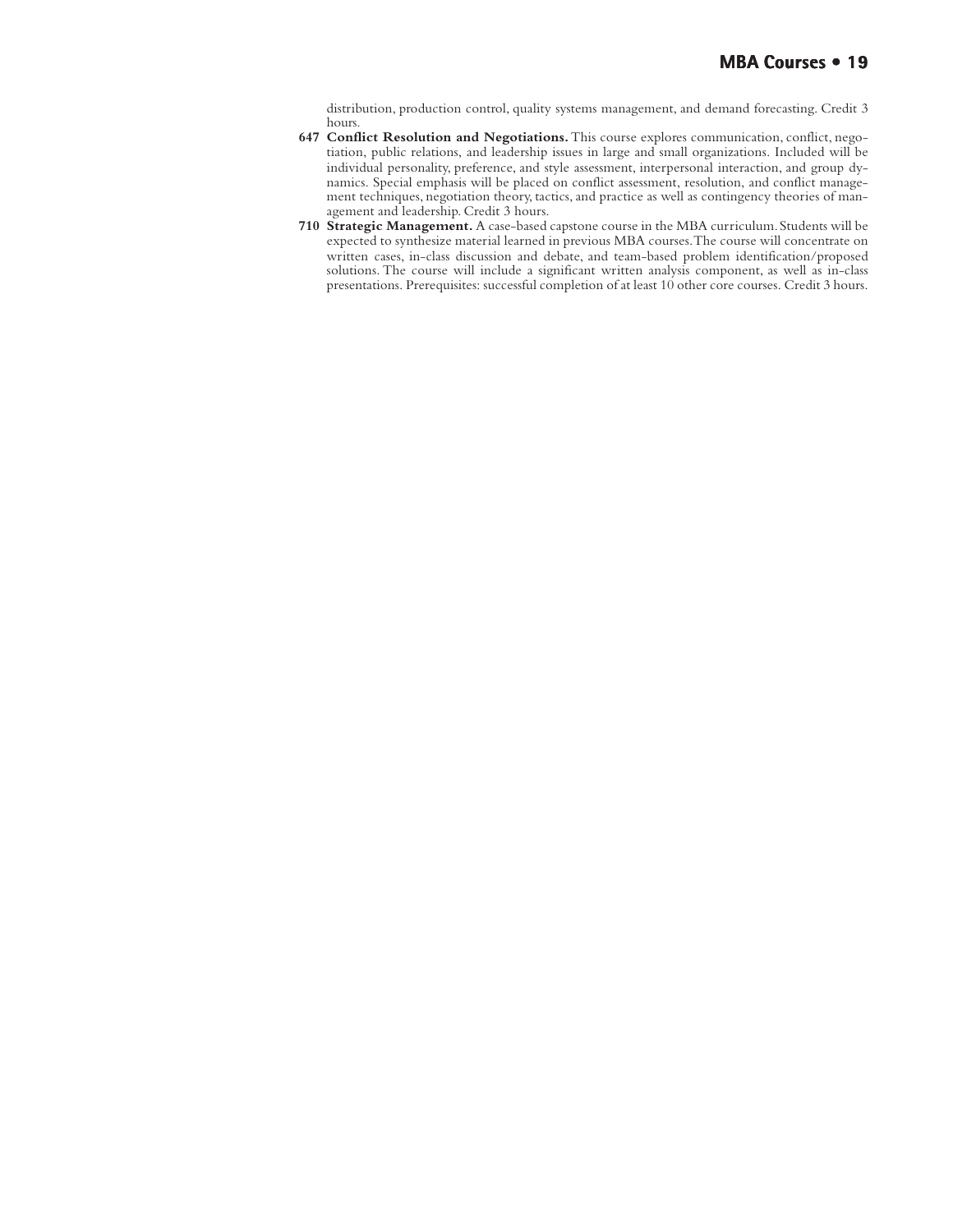distribution, production control, quality systems management, and demand forecasting. Credit 3 hours.

- **647 Conflict Resolution and Negotiations.** This course explores communication, conflict, negotiation, public relations, and leadership issues in large and small organizations. Included will be individual personality, preference, and style assessment, interpersonal interaction, and group dynamics. Special emphasis will be placed on conflict assessment, resolution, and conflict management techniques, negotiation theory, tactics, and practice as well as contingency theories of management and leadership. Credit 3 hours.
- **710 Strategic Management.** A case-based capstone course in the MBA curriculum. Students will be expected to synthesize material learned in previous MBA courses. The course will concentrate on written cases, in-class discussion and debate, and team-based problem identification/proposed solutions. The course will include a significant written analysis component, as well as in-class presentations. Prerequisites: successful completion of at least 10 other core courses. Credit 3 hours.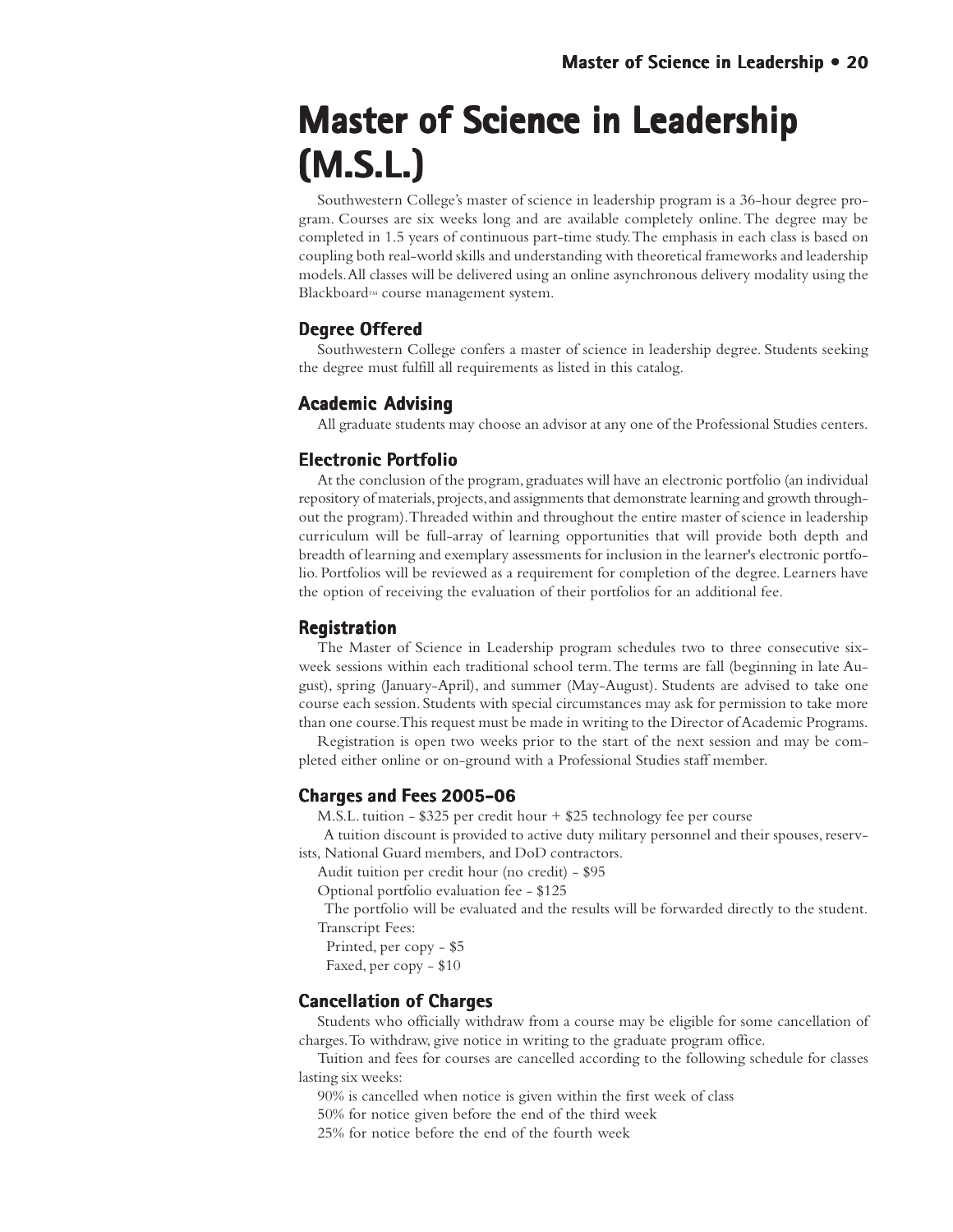# <span id="page-19-0"></span>**Master of Science in Leadership Master of Science in Leadership (M.S.L.)**

Southwestern College's master of science in leadership program is a 36-hour degree program. Courses are six weeks long and are available completely online. The degree may be completed in 1.5 years of continuous part-time study. The emphasis in each class is based on coupling both real-world skills and understanding with theoretical frameworks and leadership models. All classes will be delivered using an online asynchronous delivery modality using the Blackboard™ course management system.

# **Degree Offered**

Southwestern College confers a master of science in leadership degree. Students seeking the degree must fulfill all requirements as listed in this catalog.

# **Academic Advising**

All graduate students may choose an advisor at any one of the Professional Studies centers.

# **Electronic Portfolio**

At the conclusion of the program, graduates will have an electronic portfolio (an individual repository of materials, projects, and assignments that demonstrate learning and growth throughout the program). Threaded within and throughout the entire master of science in leadership curriculum will be full-array of learning opportunities that will provide both depth and breadth of learning and exemplary assessments for inclusion in the learner's electronic portfolio. Portfolios will be reviewed as a requirement for completion of the degree. Learners have the option of receiving the evaluation of their portfolios for an additional fee.

# **Registration**

The Master of Science in Leadership program schedules two to three consecutive sixweek sessions within each traditional school term. The terms are fall (beginning in late August), spring (January-April), and summer (May-August). Students are advised to take one course each session. Students with special circumstances may ask for permission to take more than one course. This request must be made in writing to the Director of Academic Programs.

Registration is open two weeks prior to the start of the next session and may be completed either online or on-ground with a Professional Studies staff member.

# **Charges and Fees 2005-06**

M.S.L. tuition - \$325 per credit hour + \$25 technology fee per course

 A tuition discount is provided to active duty military personnel and their spouses, reservists, National Guard members, and DoD contractors.

Audit tuition per credit hour (no credit) - \$95

Optional portfolio evaluation fee - \$125

 The portfolio will be evaluated and the results will be forwarded directly to the student. Transcript Fees:

Printed, per copy - \$5

Faxed, per copy - \$10

# **Cancellation of Charges of Charges**

Students who officially withdraw from a course may be eligible for some cancellation of charges. To withdraw, give notice in writing to the graduate program office.

Tuition and fees for courses are cancelled according to the following schedule for classes lasting six weeks:

90% is cancelled when notice is given within the first week of class

50% for notice given before the end of the third week

25% for notice before the end of the fourth week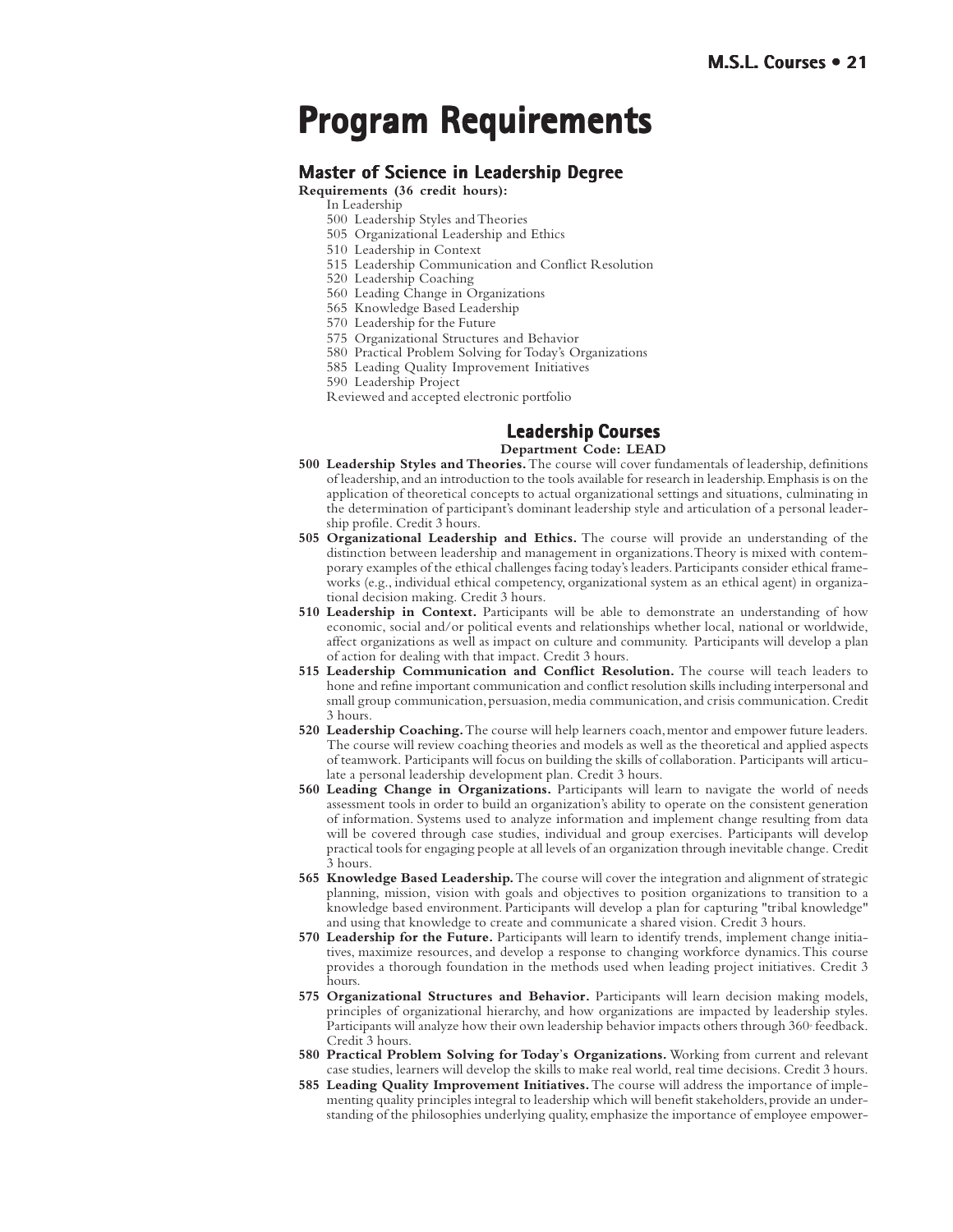# <span id="page-20-0"></span>**Program Requirements**

#### **Master of Science in Leadership Degree**

**Requirements (36 credit hours):**

In Leadership

- 500 Leadership Styles and Theories
- 505 Organizational Leadership and Ethics

510 Leadership in Context

- 515 Leadership Communication and Conflict Resolution
- 520 Leadership Coaching
- 560 Leading Change in Organizations
- 565 Knowledge Based Leadership
- 570 Leadership for the Future
- 575 Organizational Structures and Behavior
- 580 Practical Problem Solving for Today's Organizations
- 585 Leading Quality Improvement Initiatives

590 Leadership Project

Reviewed and accepted electronic portfolio

#### **Leadership Courses Courses**

**Department Code: LEAD**

- **500 Leadership Styles and Theories.** The course will cover fundamentals of leadership, definitions of leadership, and an introduction to the tools available for research in leadership. Emphasis is on the application of theoretical concepts to actual organizational settings and situations, culminating in the determination of participant's dominant leadership style and articulation of a personal leadership profile. Credit 3 hours.
- **505 Organizational Leadership and Ethics.** The course will provide an understanding of the distinction between leadership and management in organizations. Theory is mixed with contemporary examples of the ethical challenges facing today's leaders. Participants consider ethical frameworks (e.g., individual ethical competency, organizational system as an ethical agent) in organizational decision making. Credit 3 hours.
- **510 Leadership in Context.** Participants will be able to demonstrate an understanding of how economic, social and/or political events and relationships whether local, national or worldwide, affect organizations as well as impact on culture and community. Participants will develop a plan of action for dealing with that impact. Credit 3 hours.
- **515 Leadership Communication and Conflict Resolution.** The course will teach leaders to hone and refine important communication and conflict resolution skills including interpersonal and small group communication, persuasion, media communication, and crisis communication. Credit 3 hours.
- **520 Leadership Coaching.** The course will help learners coach, mentor and empower future leaders. The course will review coaching theories and models as well as the theoretical and applied aspects of teamwork. Participants will focus on building the skills of collaboration. Participants will articulate a personal leadership development plan. Credit 3 hours.
- **560 Leading Change in Organizations.** Participants will learn to navigate the world of needs assessment tools in order to build an organization's ability to operate on the consistent generation of information. Systems used to analyze information and implement change resulting from data will be covered through case studies, individual and group exercises. Participants will develop practical tools for engaging people at all levels of an organization through inevitable change. Credit 3 hours.
- **565 Knowledge Based Leadership.** The course will cover the integration and alignment of strategic planning, mission, vision with goals and objectives to position organizations to transition to a knowledge based environment. Participants will develop a plan for capturing "tribal knowledge" and using that knowledge to create and communicate a shared vision. Credit 3 hours.
- **570 Leadership for the Future.** Participants will learn to identify trends, implement change initiatives, maximize resources, and develop a response to changing workforce dynamics. This course provides a thorough foundation in the methods used when leading project initiatives. Credit 3 hours.
- **575 Organizational Structures and Behavior.** Participants will learn decision making models, principles of organizational hierarchy, and how organizations are impacted by leadership styles. Participants will analyze how their own leadership behavior impacts others through 360<sup>°</sup> feedback. Credit 3 hours.
- **580 Practical Problem Solving for Today**'**s Organizations.** Working from current and relevant case studies, learners will develop the skills to make real world, real time decisions. Credit 3 hours.
- **585 Leading Quality Improvement Initiatives.** The course will address the importance of implementing quality principles integral to leadership which will benefit stakeholders, provide an understanding of the philosophies underlying quality, emphasize the importance of employee empower-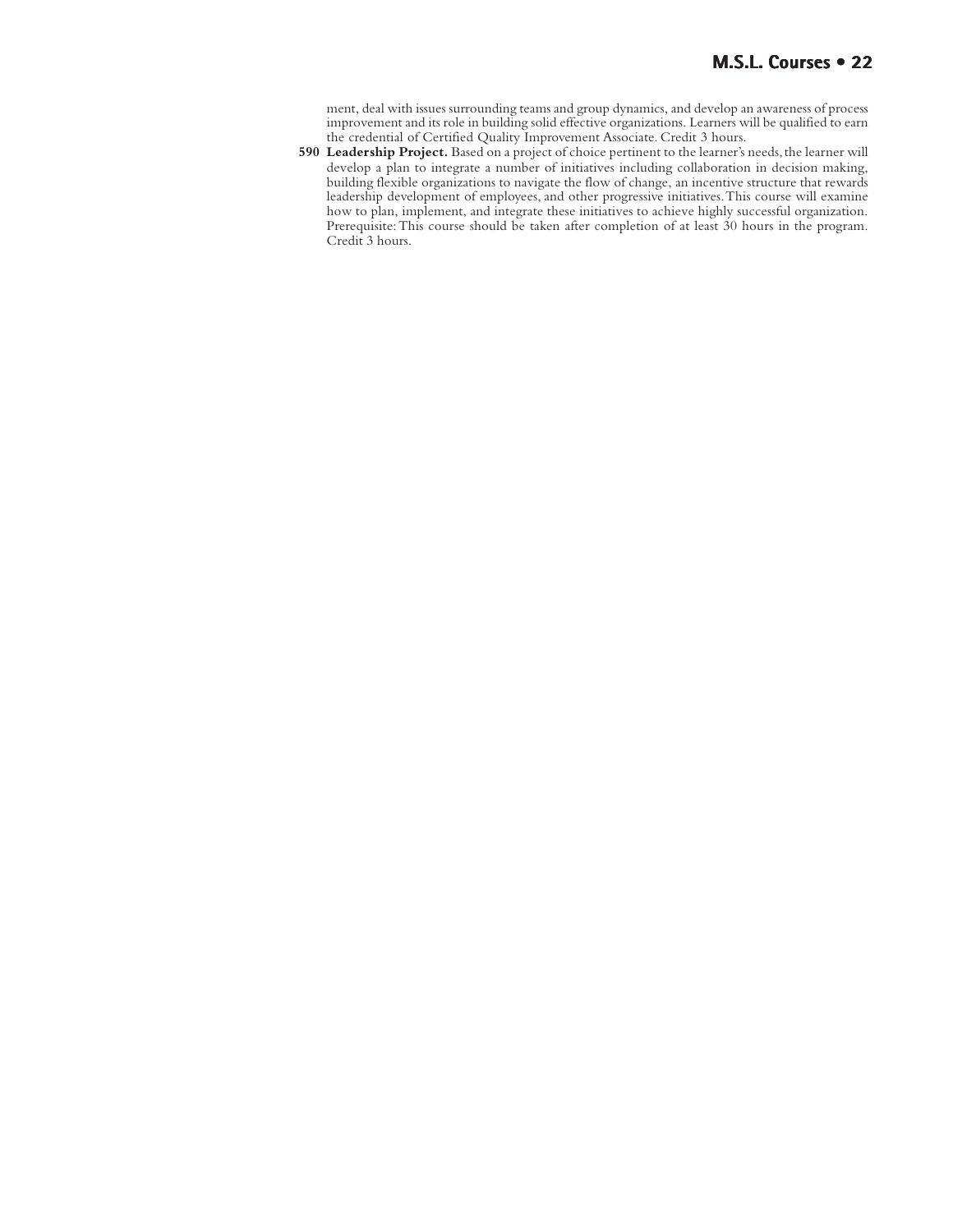ment, deal with issues surrounding teams and group dynamics, and develop an awareness of process improvement and its role in building solid effective organizations. Learners will be qualified to earn the credential of Certified Quality Improvement Associate. Credit 3 hours.

590 Leadership Project. Based on a project of choice pertinent to the learner's needs, the learner will develop a plan to integrate a number of initiatives including collaboration in decision making, building flexible organizations to navigate the flow of change, an incentive structure that rewards leadership development of employees, and other progressive initiatives. This course will examine how to plan, implement, and integrate these initiatives to achieve highly successful organization. Prerequisite: This course should be taken after completion of at least 30 hours in the program. Credit 3 hours.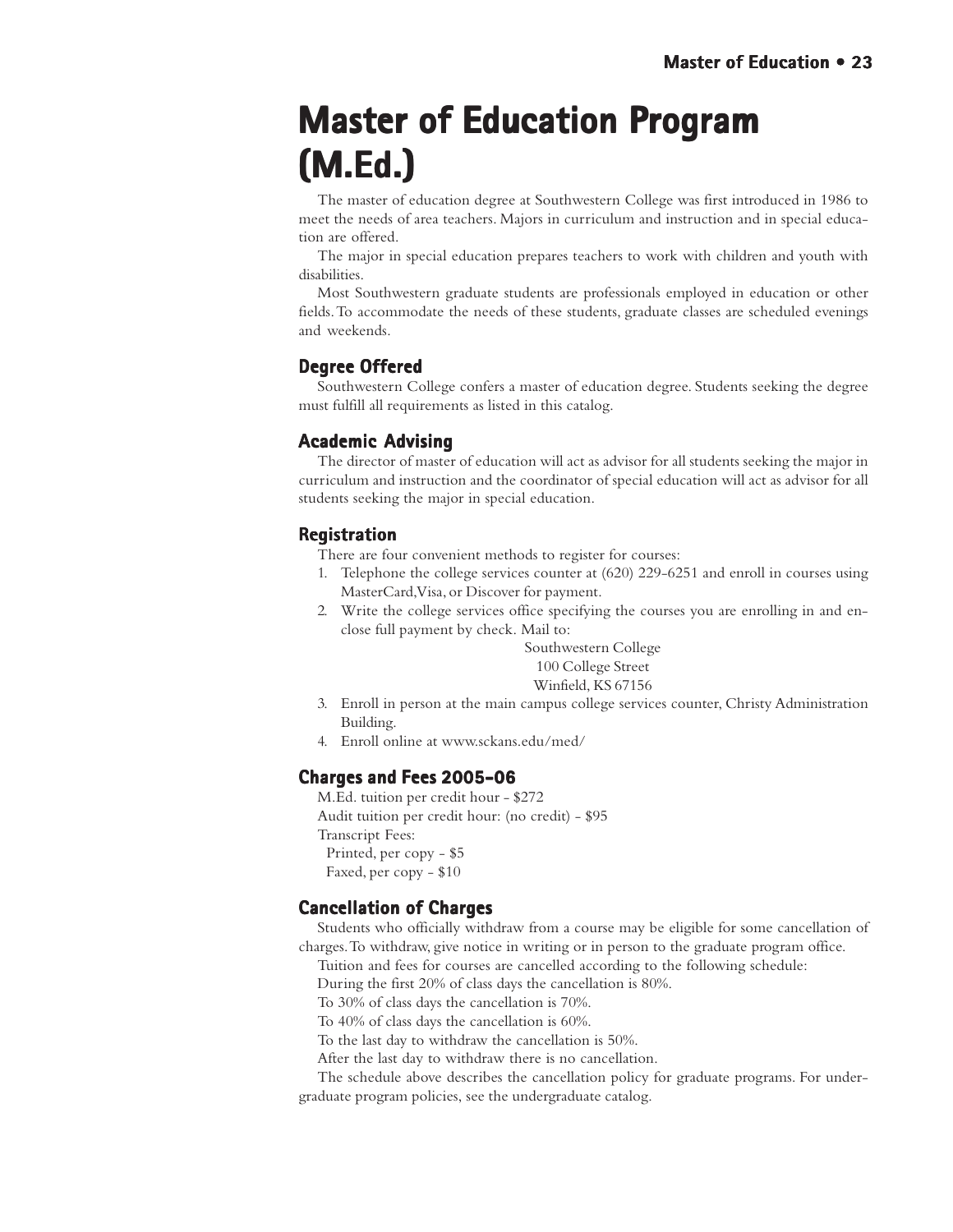# <span id="page-22-0"></span>**Master of Education Program Master of Education Program (M.Ed.)**

The master of education degree at Southwestern College was first introduced in 1986 to meet the needs of area teachers. Majors in curriculum and instruction and in special education are offered.

The major in special education prepares teachers to work with children and youth with disabilities.

Most Southwestern graduate students are professionals employed in education or other fields. To accommodate the needs of these students, graduate classes are scheduled evenings and weekends.

# **Degree Offered**

Southwestern College confers a master of education degree. Students seeking the degree must fulfill all requirements as listed in this catalog.

# **Academic Advising**

The director of master of education will act as advisor for all students seeking the major in curriculum and instruction and the coordinator of special education will act as advisor for all students seeking the major in special education.

# **Registration**

There are four convenient methods to register for courses:

- 1. Telephone the college services counter at (620) 229-6251 and enroll in courses using MasterCard, Visa, or Discover for payment.
- 2. Write the college services office specifying the courses you are enrolling in and enclose full payment by check. Mail to:

Southwestern College 100 College Street Winfield, KS 67156

- 3. Enroll in person at the main campus college services counter, Christy Administration Building.
- 4. Enroll online at www.sckans.edu/med/

# **Charges and Fees 2005-06**

M.Ed. tuition per credit hour - \$272 Audit tuition per credit hour: (no credit) - \$95 Transcript Fees: Printed, per copy - \$5 Faxed, per copy - \$10

# **Cancellation of Charges of Charges**

Students who officially withdraw from a course may be eligible for some cancellation of charges. To withdraw, give notice in writing or in person to the graduate program office.

Tuition and fees for courses are cancelled according to the following schedule:

During the first 20% of class days the cancellation is 80%.

To 30% of class days the cancellation is 70%.

To 40% of class days the cancellation is 60%.

To the last day to withdraw the cancellation is 50%.

After the last day to withdraw there is no cancellation.

The schedule above describes the cancellation policy for graduate programs. For undergraduate program policies, see the undergraduate catalog.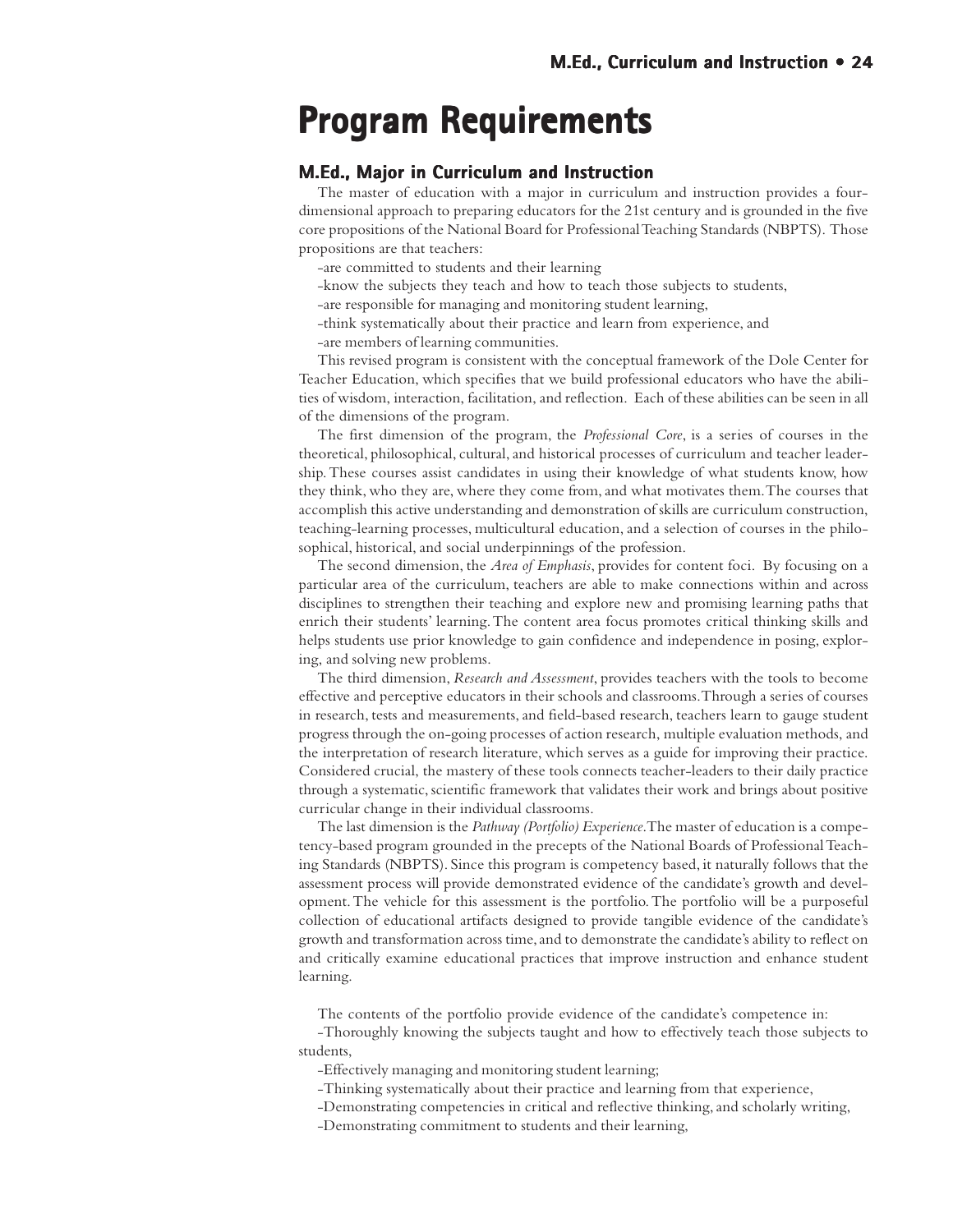# <span id="page-23-0"></span>**Program Requirements**

#### **M.Ed., Major in Curriculum and Instruction**

The master of education with a major in curriculum and instruction provides a fourdimensional approach to preparing educators for the 21st century and is grounded in the five core propositions of the National Board for Professional Teaching Standards (NBPTS). Those propositions are that teachers:

-are committed to students and their learning

-know the subjects they teach and how to teach those subjects to students,

-are responsible for managing and monitoring student learning,

-think systematically about their practice and learn from experience, and

-are members of learning communities.

This revised program is consistent with the conceptual framework of the Dole Center for Teacher Education, which specifies that we build professional educators who have the abilities of wisdom, interaction, facilitation, and reflection. Each of these abilities can be seen in all of the dimensions of the program.

The first dimension of the program, the *Professional Core*, is a series of courses in the theoretical, philosophical, cultural, and historical processes of curriculum and teacher leadership. These courses assist candidates in using their knowledge of what students know, how they think, who they are, where they come from, and what motivates them. The courses that accomplish this active understanding and demonstration of skills are curriculum construction, teaching-learning processes, multicultural education, and a selection of courses in the philosophical, historical, and social underpinnings of the profession.

The second dimension, the *Area of Emphasis*, provides for content foci. By focusing on a particular area of the curriculum, teachers are able to make connections within and across disciplines to strengthen their teaching and explore new and promising learning paths that enrich their students' learning. The content area focus promotes critical thinking skills and helps students use prior knowledge to gain confidence and independence in posing, exploring, and solving new problems.

The third dimension, *Research and Assessment*, provides teachers with the tools to become effective and perceptive educators in their schools and classrooms. Through a series of courses in research, tests and measurements, and field-based research, teachers learn to gauge student progress through the on-going processes of action research, multiple evaluation methods, and the interpretation of research literature, which serves as a guide for improving their practice. Considered crucial, the mastery of these tools connects teacher-leaders to their daily practice through a systematic, scientific framework that validates their work and brings about positive curricular change in their individual classrooms.

The last dimension is the *Pathway (Portfolio) Experience*. The master of education is a competency-based program grounded in the precepts of the National Boards of Professional Teaching Standards (NBPTS). Since this program is competency based, it naturally follows that the assessment process will provide demonstrated evidence of the candidate's growth and development. The vehicle for this assessment is the portfolio. The portfolio will be a purposeful collection of educational artifacts designed to provide tangible evidence of the candidate's growth and transformation across time, and to demonstrate the candidate's ability to reflect on and critically examine educational practices that improve instruction and enhance student learning.

The contents of the portfolio provide evidence of the candidate's competence in:

-Thoroughly knowing the subjects taught and how to effectively teach those subjects to students,

-Effectively managing and monitoring student learning;

-Thinking systematically about their practice and learning from that experience,

-Demonstrating competencies in critical and reflective thinking, and scholarly writing,

-Demonstrating commitment to students and their learning,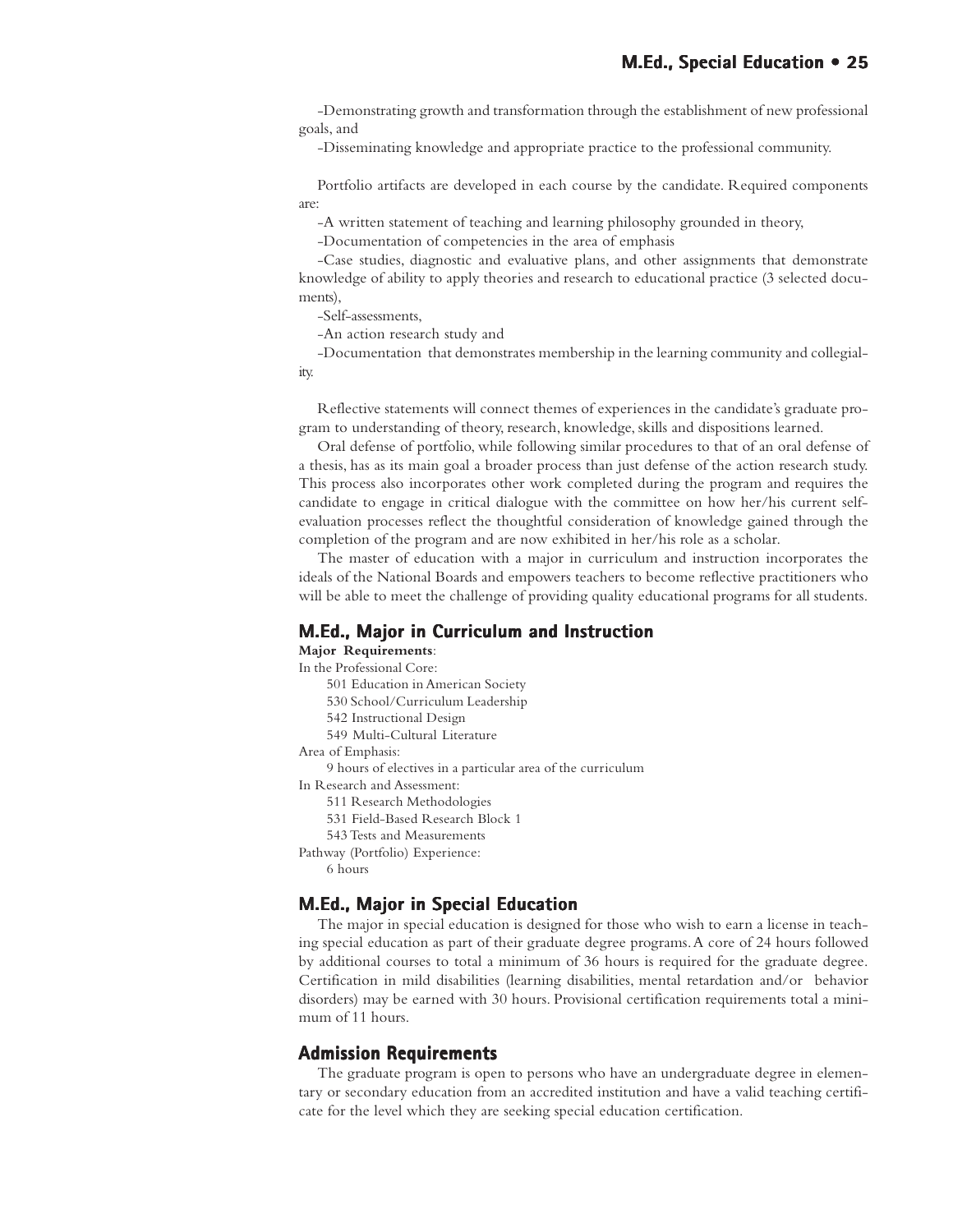<span id="page-24-0"></span>-Demonstrating growth and transformation through the establishment of new professional goals, and

-Disseminating knowledge and appropriate practice to the professional community.

Portfolio artifacts are developed in each course by the candidate. Required components are:

-A written statement of teaching and learning philosophy grounded in theory,

-Documentation of competencies in the area of emphasis

-Case studies, diagnostic and evaluative plans, and other assignments that demonstrate knowledge of ability to apply theories and research to educational practice (3 selected documents),

-Self-assessments,

-An action research study and

-Documentation that demonstrates membership in the learning community and collegiality.

Reflective statements will connect themes of experiences in the candidate's graduate program to understanding of theory, research, knowledge, skills and dispositions learned.

Oral defense of portfolio, while following similar procedures to that of an oral defense of a thesis, has as its main goal a broader process than just defense of the action research study. This process also incorporates other work completed during the program and requires the candidate to engage in critical dialogue with the committee on how her/his current selfevaluation processes reflect the thoughtful consideration of knowledge gained through the completion of the program and are now exhibited in her/his role as a scholar.

The master of education with a major in curriculum and instruction incorporates the ideals of the National Boards and empowers teachers to become reflective practitioners who will be able to meet the challenge of providing quality educational programs for all students.

#### **M.Ed., Major in Curriculum and Instruction**

**Major Requirements**:

In the Professional Core:

501 Education in American Society

530 School/Curriculum Leadership

542 Instructional Design

549 Multi-Cultural Literature

Area of Emphasis:

9 hours of electives in a particular area of the curriculum

In Research and Assessment:

511 Research Methodologies

531 Field-Based Research Block 1

543 Tests and Measurements

Pathway (Portfolio) Experience:

6 hours

#### **M.Ed., Major in Special Education**

The major in special education is designed for those who wish to earn a license in teaching special education as part of their graduate degree programs. A core of 24 hours followed by additional courses to total a minimum of 36 hours is required for the graduate degree. Certification in mild disabilities (learning disabilities, mental retardation and/or behavior disorders) may be earned with 30 hours. Provisional certification requirements total a minimum of 11 hours.

#### **Admission Requirements Admission Requirements**

The graduate program is open to persons who have an undergraduate degree in elementary or secondary education from an accredited institution and have a valid teaching certificate for the level which they are seeking special education certification.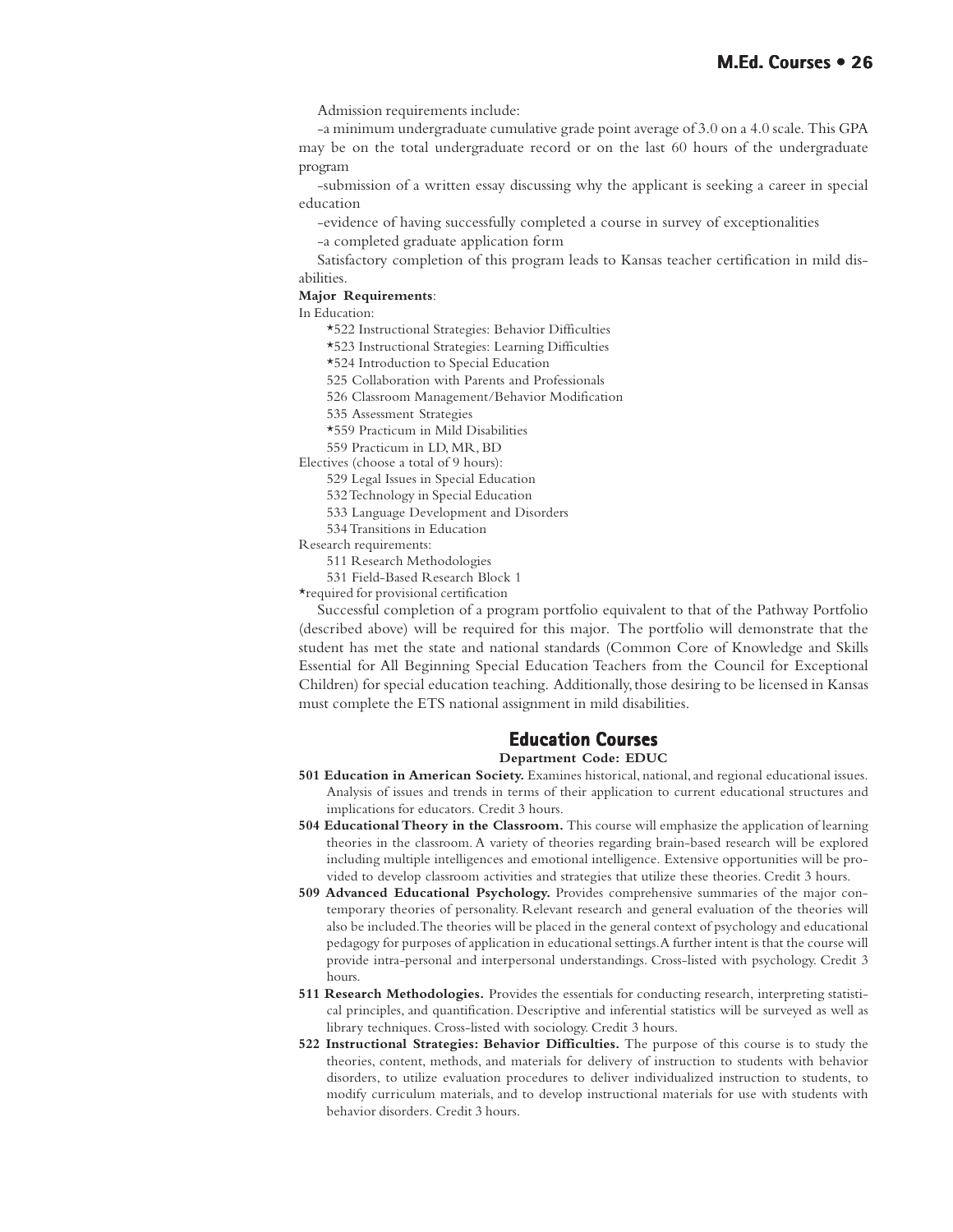Admission requirements include:

<span id="page-25-0"></span>-a minimum undergraduate cumulative grade point average of 3.0 on a 4.0 scale. This GPA may be on the total undergraduate record or on the last 60 hours of the undergraduate program

-submission of a written essay discussing why the applicant is seeking a career in special education

-evidence of having successfully completed a course in survey of exceptionalities

-a completed graduate application form

Satisfactory completion of this program leads to Kansas teacher certification in mild disabilities.

#### **Major Requirements**:

In Education:

\*522 Instructional Strategies: Behavior Difficulties

\*523 Instructional Strategies: Learning Difficulties

\*524 Introduction to Special Education

525 Collaboration with Parents and Professionals

526 Classroom Management/Behavior Modification

535 Assessment Strategies

\*559 Practicum in Mild Disabilities

559 Practicum in LD, MR, BD

Electives (choose a total of 9 hours):

529 Legal Issues in Special Education

532 Technology in Special Education

533 Language Development and Disorders

534 Transitions in Education

Research requirements:

511 Research Methodologies

531 Field-Based Research Block 1

\*required for provisional certification

Successful completion of a program portfolio equivalent to that of the Pathway Portfolio (described above) will be required for this major. The portfolio will demonstrate that the student has met the state and national standards (Common Core of Knowledge and Skills Essential for All Beginning Special Education Teachers from the Council for Exceptional Children) for special education teaching. Additionally, those desiring to be licensed in Kansas must complete the ETS national assignment in mild disabilities.

#### **Education Courses Education Courses**

#### **Department Code: EDUC**

- **501 Education in American Society.** Examines historical, national, and regional educational issues. Analysis of issues and trends in terms of their application to current educational structures and implications for educators. Credit 3 hours.
- **504 Educational Theory in the Classroom.** This course will emphasize the application of learning theories in the classroom. A variety of theories regarding brain-based research will be explored including multiple intelligences and emotional intelligence. Extensive opportunities will be provided to develop classroom activities and strategies that utilize these theories. Credit 3 hours.
- **509 Advanced Educational Psychology.** Provides comprehensive summaries of the major contemporary theories of personality. Relevant research and general evaluation of the theories will also be included. The theories will be placed in the general context of psychology and educational pedagogy for purposes of application in educational settings. A further intent is that the course will provide intra-personal and interpersonal understandings. Cross-listed with psychology. Credit 3 hours.
- **511 Research Methodologies.** Provides the essentials for conducting research, interpreting statistical principles, and quantification. Descriptive and inferential statistics will be surveyed as well as library techniques. Cross-listed with sociology. Credit 3 hours.
- **522 Instructional Strategies: Behavior Difficulties.** The purpose of this course is to study the theories, content, methods, and materials for delivery of instruction to students with behavior disorders, to utilize evaluation procedures to deliver individualized instruction to students, to modify curriculum materials, and to develop instructional materials for use with students with behavior disorders. Credit 3 hours.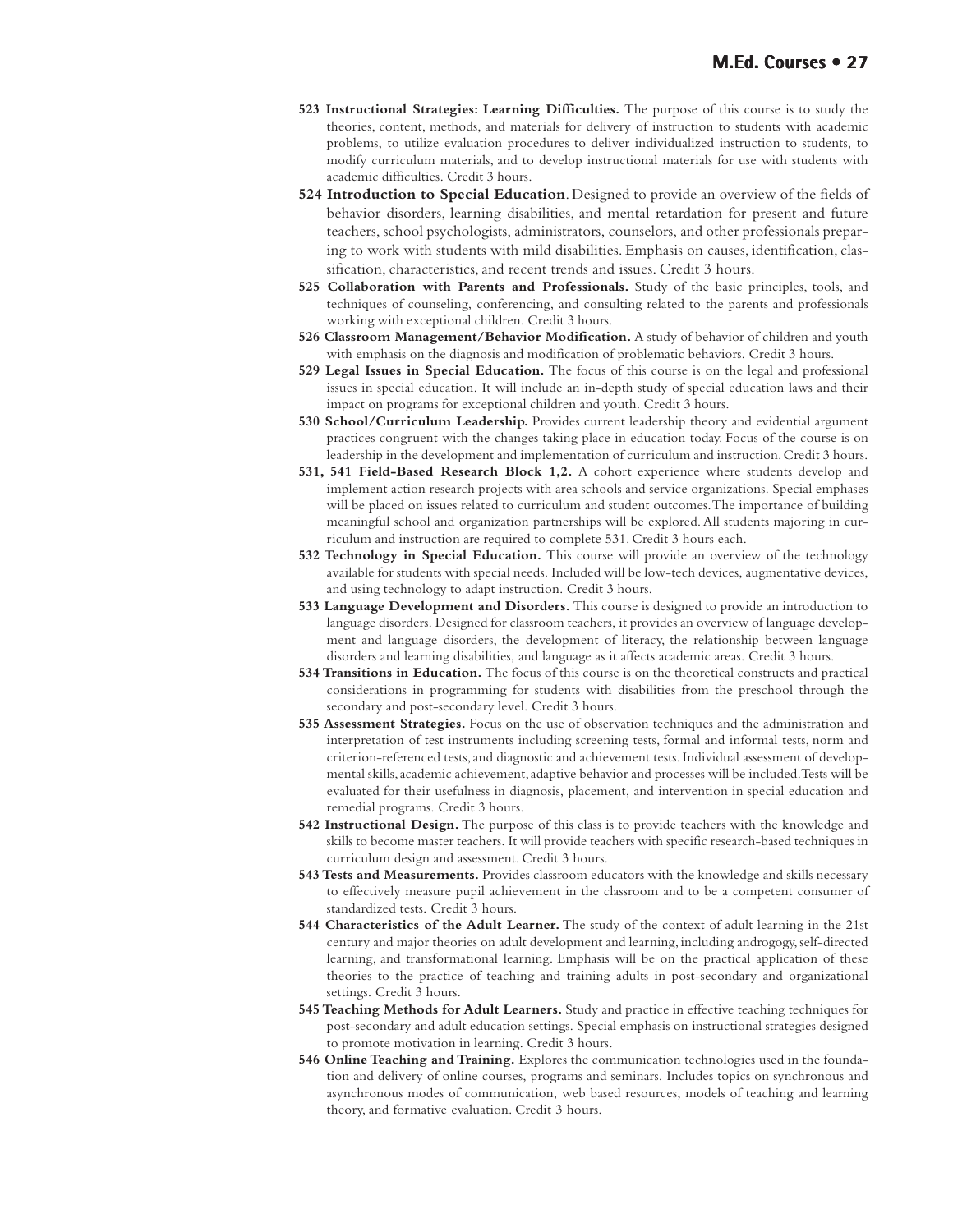- **523 Instructional Strategies: Learning Difficulties.** The purpose of this course is to study the theories, content, methods, and materials for delivery of instruction to students with academic problems, to utilize evaluation procedures to deliver individualized instruction to students, to modify curriculum materials, and to develop instructional materials for use with students with academic difficulties. Credit 3 hours.
- **524 Introduction to Special Education**. Designed to provide an overview of the fields of behavior disorders, learning disabilities, and mental retardation for present and future teachers, school psychologists, administrators, counselors, and other professionals preparing to work with students with mild disabilities. Emphasis on causes, identification, classification, characteristics, and recent trends and issues. Credit 3 hours.
- **525 Collaboration with Parents and Professionals.** Study of the basic principles, tools, and techniques of counseling, conferencing, and consulting related to the parents and professionals working with exceptional children. Credit 3 hours.
- **526 Classroom Management/Behavior Modification.** A study of behavior of children and youth with emphasis on the diagnosis and modification of problematic behaviors. Credit 3 hours.
- **529 Legal Issues in Special Education.** The focus of this course is on the legal and professional issues in special education. It will include an in-depth study of special education laws and their impact on programs for exceptional children and youth. Credit 3 hours.
- **530 School/Curriculum Leadership.** Provides current leadership theory and evidential argument practices congruent with the changes taking place in education today. Focus of the course is on leadership in the development and implementation of curriculum and instruction. Credit 3 hours.
- **531, 541 Field-Based Research Block 1,2.** A cohort experience where students develop and implement action research projects with area schools and service organizations. Special emphases will be placed on issues related to curriculum and student outcomes. The importance of building meaningful school and organization partnerships will be explored. All students majoring in curriculum and instruction are required to complete 531. Credit 3 hours each.
- **532 Technology in Special Education.** This course will provide an overview of the technology available for students with special needs. Included will be low-tech devices, augmentative devices, and using technology to adapt instruction. Credit 3 hours.
- **533 Language Development and Disorders.** This course is designed to provide an introduction to language disorders. Designed for classroom teachers, it provides an overview of language development and language disorders, the development of literacy, the relationship between language disorders and learning disabilities, and language as it affects academic areas. Credit 3 hours.
- **534 Transitions in Education.** The focus of this course is on the theoretical constructs and practical considerations in programming for students with disabilities from the preschool through the secondary and post-secondary level. Credit 3 hours.
- **535 Assessment Strategies.** Focus on the use of observation techniques and the administration and interpretation of test instruments including screening tests, formal and informal tests, norm and criterion-referenced tests, and diagnostic and achievement tests. Individual assessment of developmental skills, academic achievement, adaptive behavior and processes will be included. Tests will be evaluated for their usefulness in diagnosis, placement, and intervention in special education and remedial programs. Credit 3 hours.
- **542 Instructional Design.** The purpose of this class is to provide teachers with the knowledge and skills to become master teachers. It will provide teachers with specific research-based techniques in curriculum design and assessment. Credit 3 hours.
- **543 Tests and Measurements.** Provides classroom educators with the knowledge and skills necessary to effectively measure pupil achievement in the classroom and to be a competent consumer of standardized tests. Credit 3 hours.
- **544 Characteristics of the Adult Learner.** The study of the context of adult learning in the 21st century and major theories on adult development and learning, including androgogy, self-directed learning, and transformational learning. Emphasis will be on the practical application of these theories to the practice of teaching and training adults in post-secondary and organizational settings. Credit 3 hours.
- **545 Teaching Methods for Adult Learners.** Study and practice in effective teaching techniques for post-secondary and adult education settings. Special emphasis on instructional strategies designed to promote motivation in learning. Credit 3 hours.
- **546 Online Teaching and Training.** Explores the communication technologies used in the foundation and delivery of online courses, programs and seminars. Includes topics on synchronous and asynchronous modes of communication, web based resources, models of teaching and learning theory, and formative evaluation. Credit 3 hours.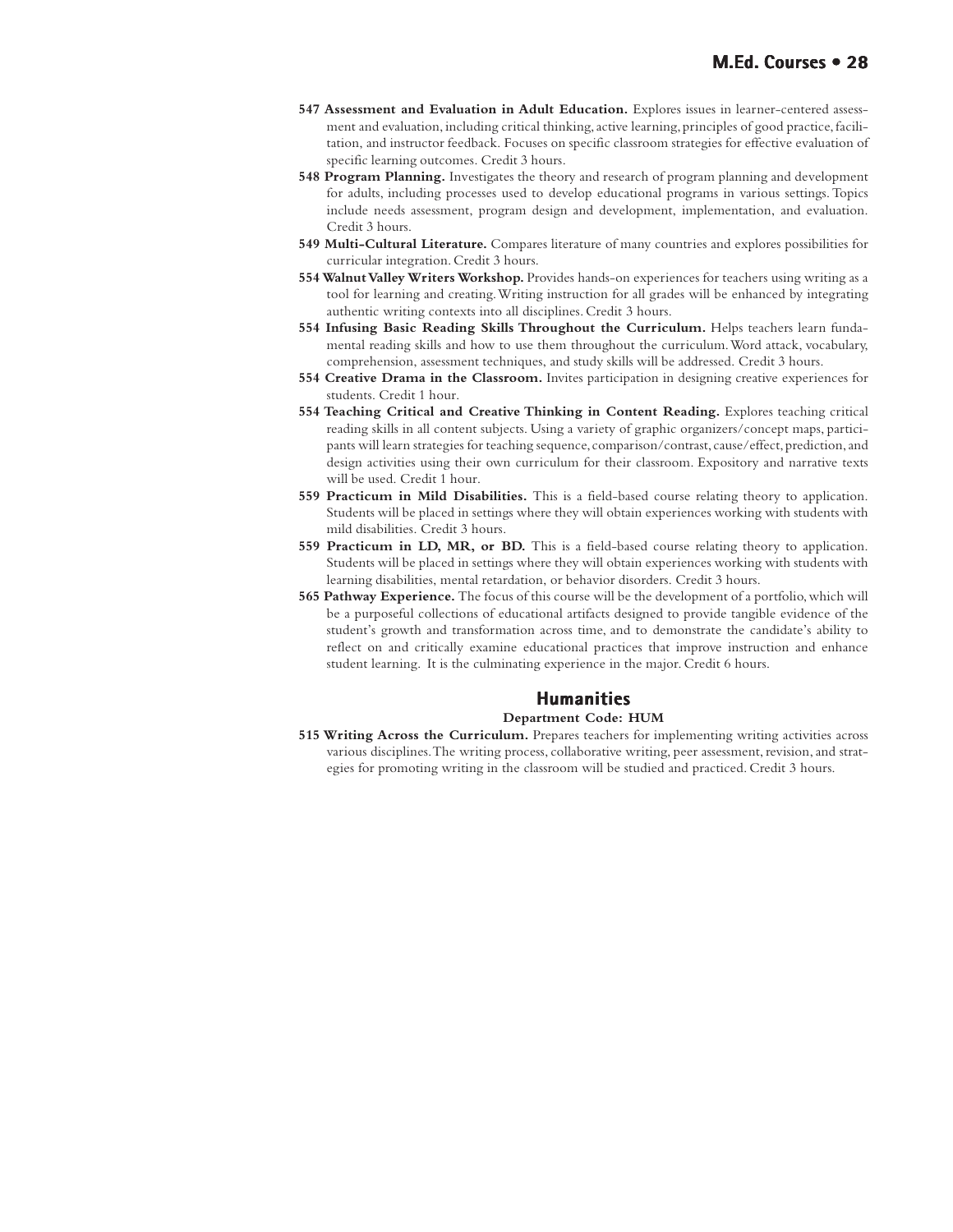- <span id="page-27-0"></span>**547 Assessment and Evaluation in Adult Education.** Explores issues in learner-centered assessment and evaluation, including critical thinking, active learning, principles of good practice, facilitation, and instructor feedback. Focuses on specific classroom strategies for effective evaluation of specific learning outcomes. Credit 3 hours.
- **548 Program Planning.** Investigates the theory and research of program planning and development for adults, including processes used to develop educational programs in various settings. Topics include needs assessment, program design and development, implementation, and evaluation. Credit 3 hours.
- **549 Multi-Cultural Literature.** Compares literature of many countries and explores possibilities for curricular integration. Credit 3 hours.
- **554 Walnut Valley Writers Workshop.** Provides hands-on experiences for teachers using writing as a tool for learning and creating. Writing instruction for all grades will be enhanced by integrating authentic writing contexts into all disciplines. Credit 3 hours.
- **554 Infusing Basic Reading Skills Throughout the Curriculum.** Helps teachers learn fundamental reading skills and how to use them throughout the curriculum. Word attack, vocabulary, comprehension, assessment techniques, and study skills will be addressed. Credit 3 hours.
- **554 Creative Drama in the Classroom.** Invites participation in designing creative experiences for students. Credit 1 hour.
- **554 Teaching Critical and Creative Thinking in Content Reading.** Explores teaching critical reading skills in all content subjects. Using a variety of graphic organizers/concept maps, participants will learn strategies for teaching sequence, comparison/contrast, cause/effect, prediction, and design activities using their own curriculum for their classroom. Expository and narrative texts will be used. Credit 1 hour.
- **559 Practicum in Mild Disabilities.** This is a field-based course relating theory to application. Students will be placed in settings where they will obtain experiences working with students with mild disabilities. Credit 3 hours.
- **559 Practicum in LD, MR, or BD.** This is a field-based course relating theory to application. Students will be placed in settings where they will obtain experiences working with students with learning disabilities, mental retardation, or behavior disorders. Credit 3 hours.
- **565 Pathway Experience.** The focus of this course will be the development of a portfolio, which will be a purposeful collections of educational artifacts designed to provide tangible evidence of the student's growth and transformation across time, and to demonstrate the candidate's ability to reflect on and critically examine educational practices that improve instruction and enhance student learning. It is the culminating experience in the major. Credit 6 hours.

# **Humanities**

#### **Department Code: HUM**

**515 Writing Across the Curriculum.** Prepares teachers for implementing writing activities across various disciplines. The writing process, collaborative writing, peer assessment, revision, and strategies for promoting writing in the classroom will be studied and practiced. Credit 3 hours.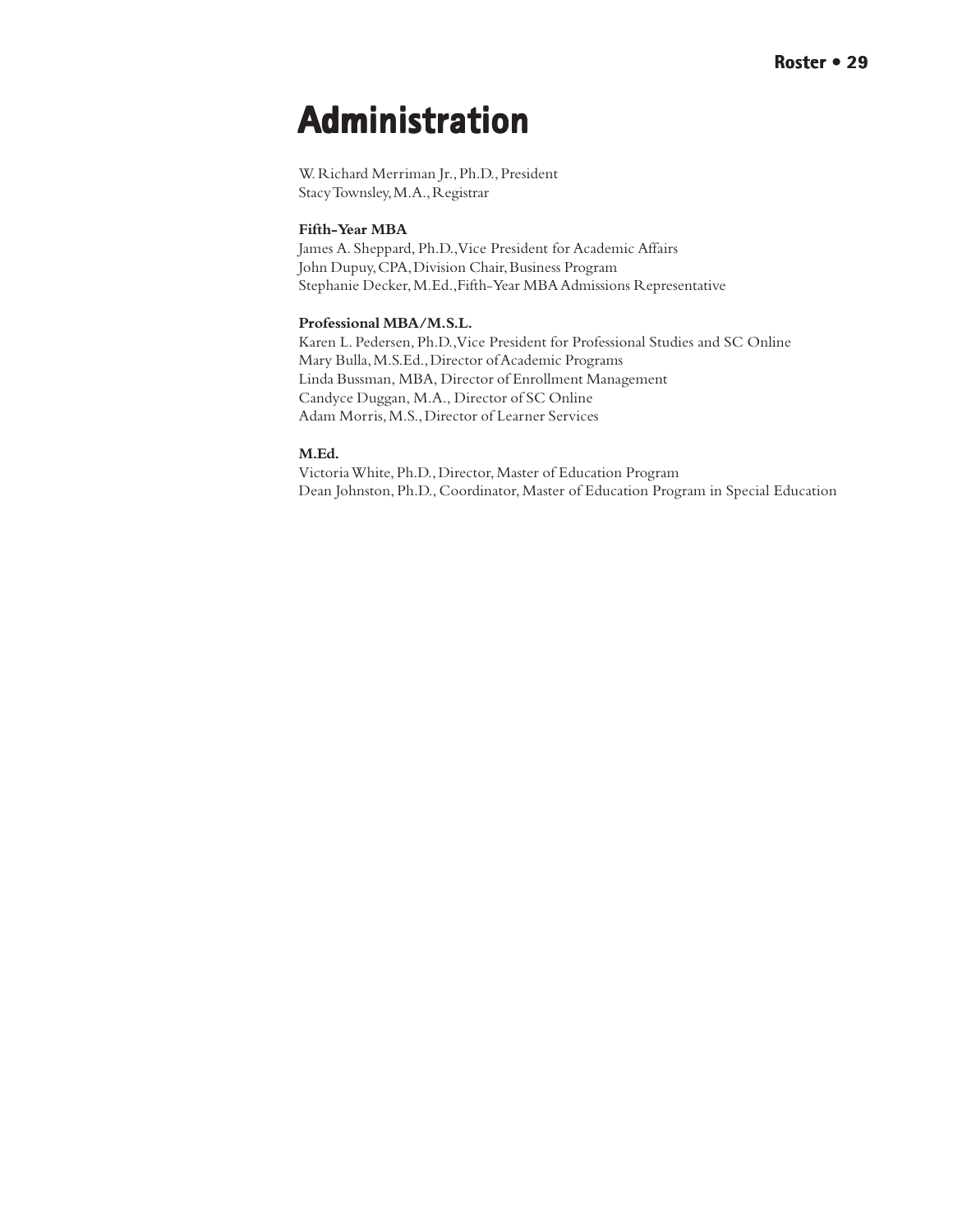# <span id="page-28-0"></span>**Administration Administration**

W. Richard Merriman Jr., Ph.D., President Stacy Townsley, M.A., Registrar

#### **Fifth-Year MBA**

James A. Sheppard, Ph.D., Vice President for Academic Affairs John Dupuy, CPA, Division Chair, Business Program Stephanie Decker, M.Ed.,Fifth-Year MBA Admissions Representative

#### **Professional MBA/M.S.L.**

Karen L. Pedersen, Ph.D., Vice President for Professional Studies and SC Online Mary Bulla, M.S.Ed., Director of Academic Programs Linda Bussman, MBA, Director of Enrollment Management Candyce Duggan, M.A., Director of SC Online Adam Morris, M.S., Director of Learner Services

#### **M.Ed.**

Victoria White, Ph.D., Director, Master of Education Program Dean Johnston, Ph.D., Coordinator, Master of Education Program in Special Education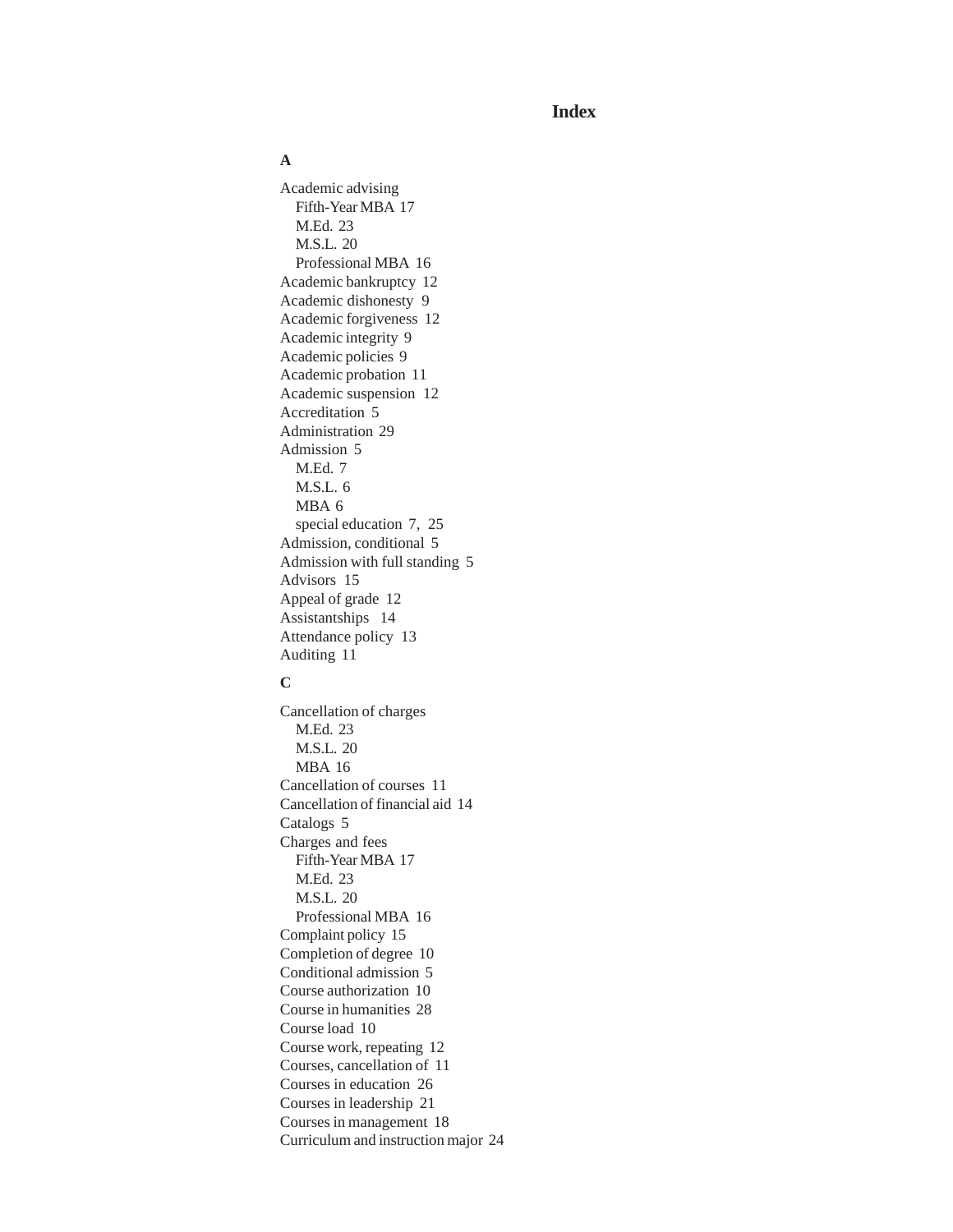### **Index**

#### <span id="page-29-0"></span>**A**

Academic advising [Fifth-Year MBA 17](#page-16-0) [M.Ed. 23](#page-22-0) [M.S.L. 20](#page-19-0) [Professional MBA 16](#page-15-0) [Academic bankruptcy 12](#page-11-0) [Academic dishonesty 9](#page-8-0) [Academic forgiveness 12](#page-11-0) [Academic integrity 9](#page-8-0) [Academic policies 9](#page-8-0) [Academic probation 11](#page-10-0) [Academic suspension 12](#page-11-0) [Accreditation 5](#page-4-0) [Administration 29](#page-28-0) [Admission 5](#page-4-0) [M.Ed. 7](#page-6-0) [M.S.L. 6](#page-5-0) [MBA 6](#page-5-0) [special education 7](#page-6-0)[, 25](#page-24-0) [Admission, conditional 5](#page-4-0) [Admission with full standing 5](#page-4-0) [Advisors 15](#page-14-0) [Appeal of grade 12](#page-11-0) [Assistantships 14](#page-13-0) [Attendance policy 13](#page-12-0) [Auditing 11](#page-10-0)

#### **C**

Cancellation of charges [M.Ed. 23](#page-22-0) [M.S.L. 20](#page-19-0) [MBA 16](#page-15-0) [Cancellation of courses 11](#page-10-0) [Cancellation of financial aid 14](#page-13-0) [Catalogs 5](#page-4-0) Charges and fees [Fifth-Year MBA 17](#page-16-0) [M.Ed. 23](#page-22-0) [M.S.L. 20](#page-19-0) [Professional MBA 16](#page-15-0) [Complaint policy 15](#page-14-0) [Completion of degree 10](#page-9-0) [Conditional admission 5](#page-4-0) [Course authorization 10](#page-9-0) [Course in humanities 28](#page-27-0) [Course load 10](#page-9-0) [Course work, repeating 12](#page-11-0) [Courses, cancellation of 11](#page-10-0) [Courses in education 26](#page-25-0) [Courses in leadership 21](#page-20-0) [Courses in management 18](#page-17-0) [Curriculum and instruction major 24](#page-23-0)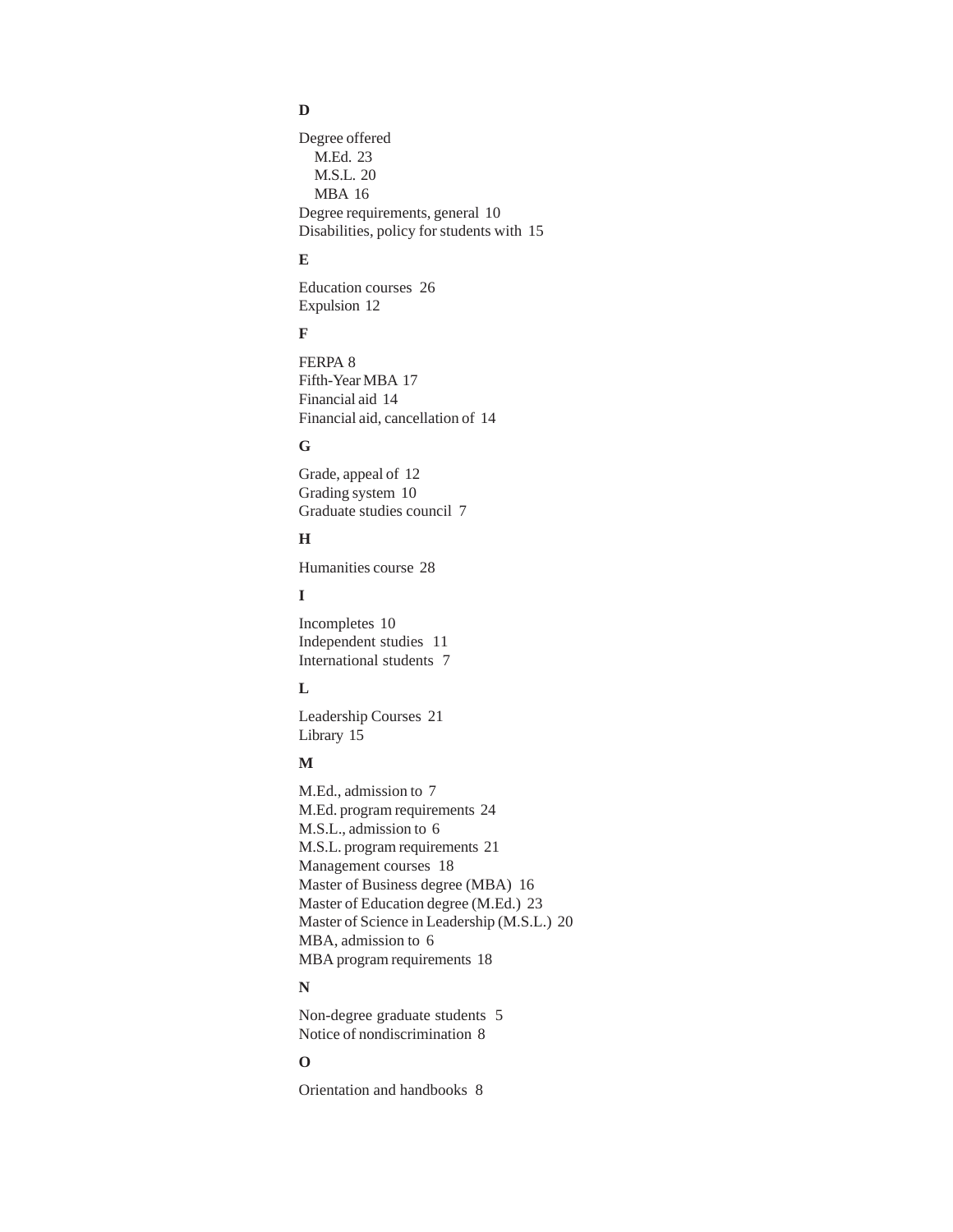#### **D**

Degree offered [M.Ed. 23](#page-22-0) [M.S.L. 20](#page-19-0) [MBA 16](#page-15-0) [Degree requirements, general 10](#page-9-0) [Disabilities, policy for students with 15](#page-14-0)

#### **E**

[Education courses 26](#page-25-0) [Expulsion 12](#page-11-0)

## **F**

[FERPA 8](#page-7-0) [Fifth-Year MBA 17](#page-16-0) [Financial aid 14](#page-13-0) [Financial aid, cancellation of 14](#page-13-0)

#### **G**

[Grade, appeal of 12](#page-11-0) [Grading system 10](#page-9-0) [Graduate studies council 7](#page-6-0)

## **H**

[Humanities course 28](#page-27-0)

#### **I**

[Incompletes 10](#page-9-0) [Independent studies 11](#page-10-0) [International students 7](#page-6-0)

## **L**

[Leadership Courses 21](#page-20-0) [Library 15](#page-14-0)

#### **M**

[M.Ed., admission to 7](#page-6-0) [M.Ed. program requirements 24](#page-23-0) [M.S.L., admission to 6](#page-5-0) [M.S.L. program requirements 21](#page-20-0) [Management courses 18](#page-17-0) [Master of Business degree \(MBA\) 16](#page-15-0) [Master of Education degree \(M.Ed.\) 23](#page-22-0) [Master of Science in Leadership \(M.S.L.\) 20](#page-19-0) [MBA, admission to 6](#page-5-0) [MBA program requirements 18](#page-17-0)

#### **N**

[Non-degree graduate students 5](#page-4-0) [Notice of nondiscrimination 8](#page-7-0)

#### **O**

[Orientation and handbooks 8](#page-7-0)